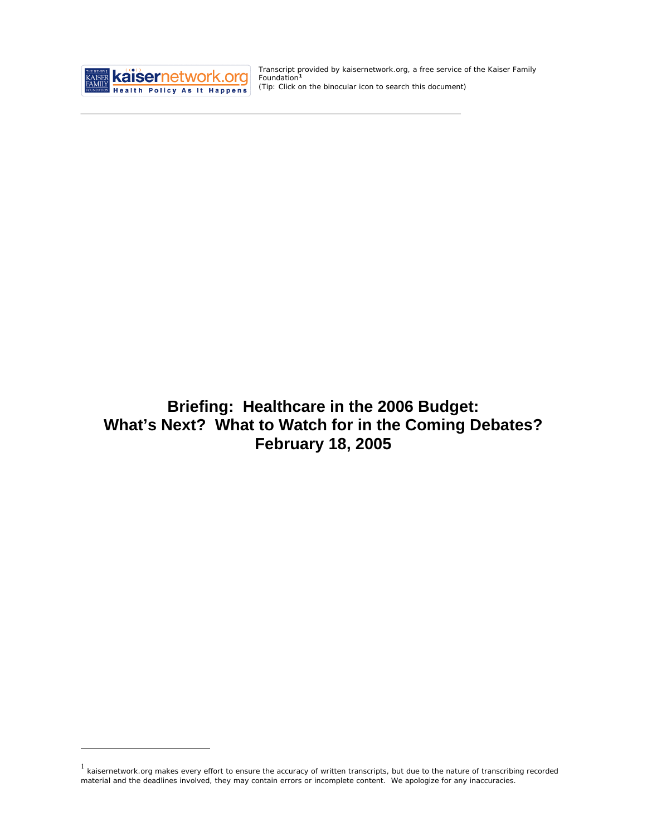

<u>.</u>

Transcript provided by kaisernetwork.org, a free service of the Kaiser Family Foundation**[1](#page-0-0)** *(Tip: Click on the binocular icon to search this document)* 

**Briefing: Healthcare in the 2006 Budget: What's Next? What to Watch for in the Coming Debates? February 18, 2005** 

<span id="page-0-0"></span> $1$  kaisernetwork.org makes every effort to ensure the accuracy of written transcripts, but due to the nature of transcribing recorded material and the deadlines involved, they may contain errors or incomplete content. We apologize for any inaccuracies.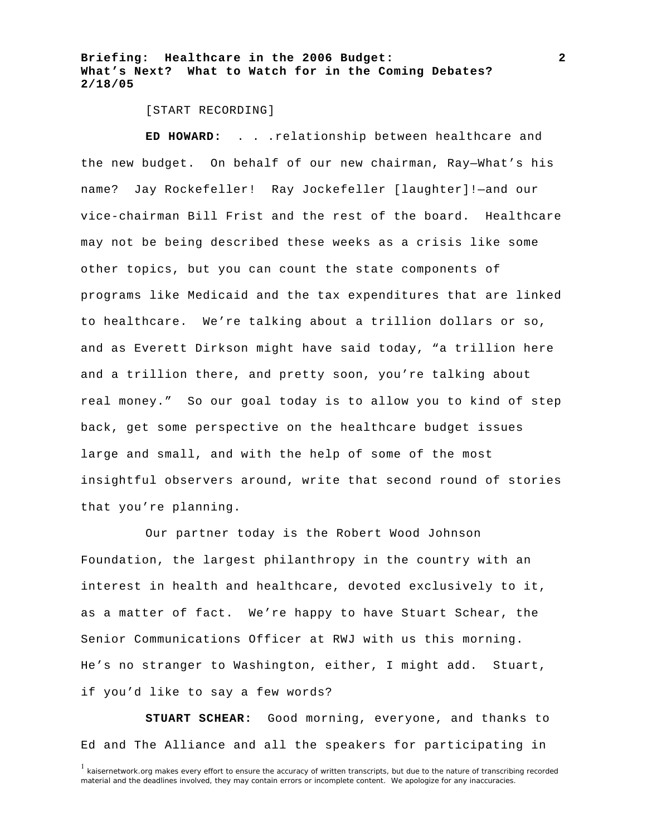#### [START RECORDING]

**ED HOWARD:** . . .relationship between healthcare and the new budget. On behalf of our new chairman, Ray—What's his name? Jay Rockefeller! Ray Jockefeller [laughter]!—and our vice-chairman Bill Frist and the rest of the board. Healthcare may not be being described these weeks as a crisis like some other topics, but you can count the state components of programs like Medicaid and the tax expenditures that are linked to healthcare. We're talking about a trillion dollars or so, and as Everett Dirkson might have said today, "a trillion here and a trillion there, and pretty soon, you're talking about real money." So our goal today is to allow you to kind of step back, get some perspective on the healthcare budget issues large and small, and with the help of some of the most insightful observers around, write that second round of stories that you're planning.

Our partner today is the Robert Wood Johnson Foundation, the largest philanthropy in the country with an interest in health and healthcare, devoted exclusively to it, as a matter of fact. We're happy to have Stuart Schear, the Senior Communications Officer at RWJ with us this morning. He's no stranger to Washington, either, I might add. Stuart, if you'd like to say a few words?

**STUART SCHEAR:** Good morning, everyone, and thanks to Ed and The Alliance and all the speakers for participating in

**2**

<sup>&</sup>lt;sup>1</sup> kaisernetwork.org makes every effort to ensure the accuracy of written transcripts, but due to the nature of transcribing recorded material and the deadlines involved, they may contain errors or incomplete content. We apologize for any inaccuracies.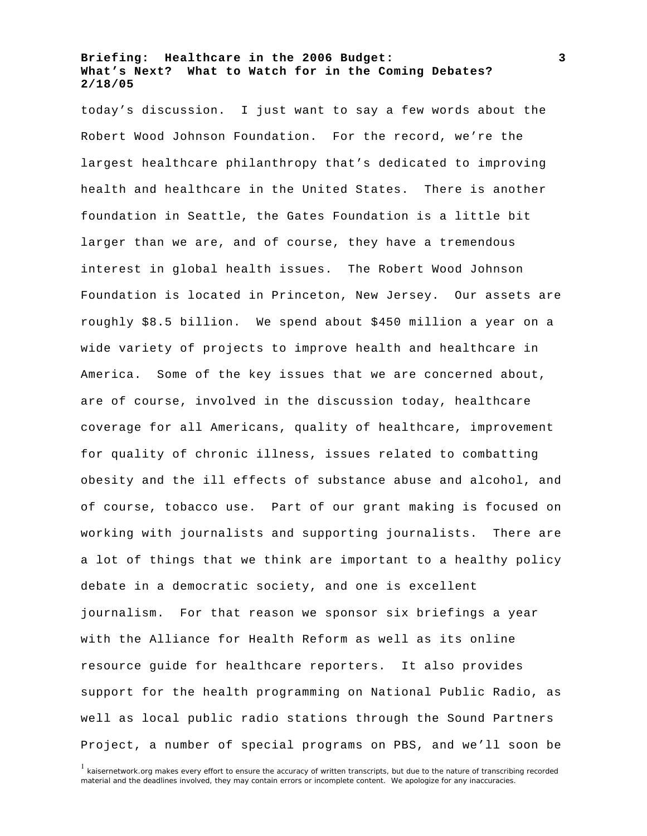today's discussion. I just want to say a few words about the Robert Wood Johnson Foundation. For the record, we're the largest healthcare philanthropy that's dedicated to improving health and healthcare in the United States. There is another foundation in Seattle, the Gates Foundation is a little bit larger than we are, and of course, they have a tremendous interest in global health issues. The Robert Wood Johnson Foundation is located in Princeton, New Jersey. Our assets are roughly \$8.5 billion. We spend about \$450 million a year on a wide variety of projects to improve health and healthcare in America. Some of the key issues that we are concerned about, are of course, involved in the discussion today, healthcare coverage for all Americans, quality of healthcare, improvement for quality of chronic illness, issues related to combatting obesity and the ill effects of substance abuse and alcohol, and of course, tobacco use. Part of our grant making is focused on working with journalists and supporting journalists. There are a lot of things that we think are important to a healthy policy debate in a democratic society, and one is excellent journalism. For that reason we sponsor six briefings a year with the Alliance for Health Reform as well as its online resource guide for healthcare reporters. It also provides support for the health programming on National Public Radio, as well as local public radio stations through the Sound Partners Project, a number of special programs on PBS, and we'll soon be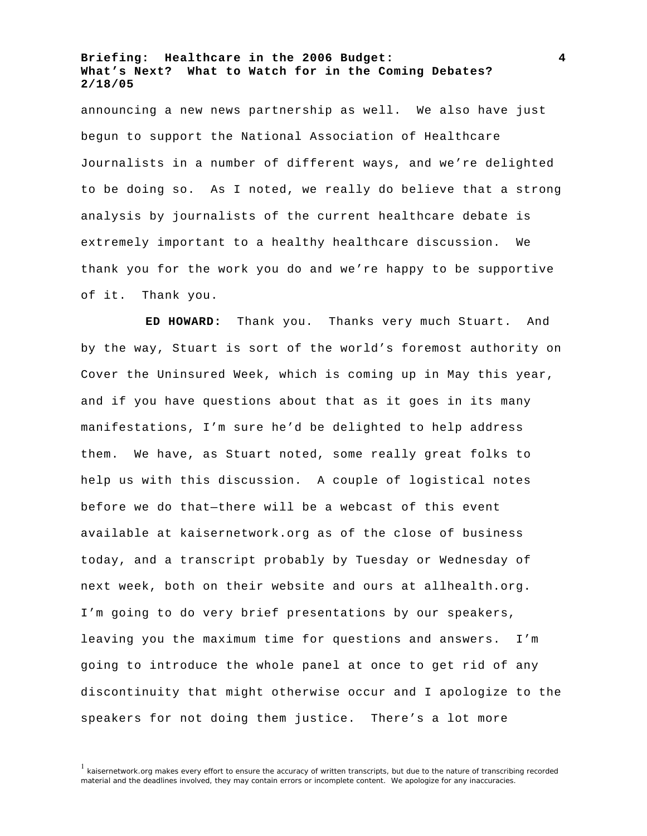announcing a new news partnership as well. We also have just begun to support the National Association of Healthcare Journalists in a number of different ways, and we're delighted to be doing so. As I noted, we really do believe that a strong analysis by journalists of the current healthcare debate is extremely important to a healthy healthcare discussion. We thank you for the work you do and we're happy to be supportive of it. Thank you.

**ED HOWARD:** Thank you. Thanks very much Stuart. And by the way, Stuart is sort of the world's foremost authority on Cover the Uninsured Week, which is coming up in May this year, and if you have questions about that as it goes in its many manifestations, I'm sure he'd be delighted to help address them. We have, as Stuart noted, some really great folks to help us with this discussion. A couple of logistical notes before we do that—there will be a webcast of this event available at kaisernetwork.org as of the close of business today, and a transcript probably by Tuesday or Wednesday of next week, both on their website and ours at allhealth.org. I'm going to do very brief presentations by our speakers, leaving you the maximum time for questions and answers. I'm going to introduce the whole panel at once to get rid of any discontinuity that might otherwise occur and I apologize to the speakers for not doing them justice. There's a lot more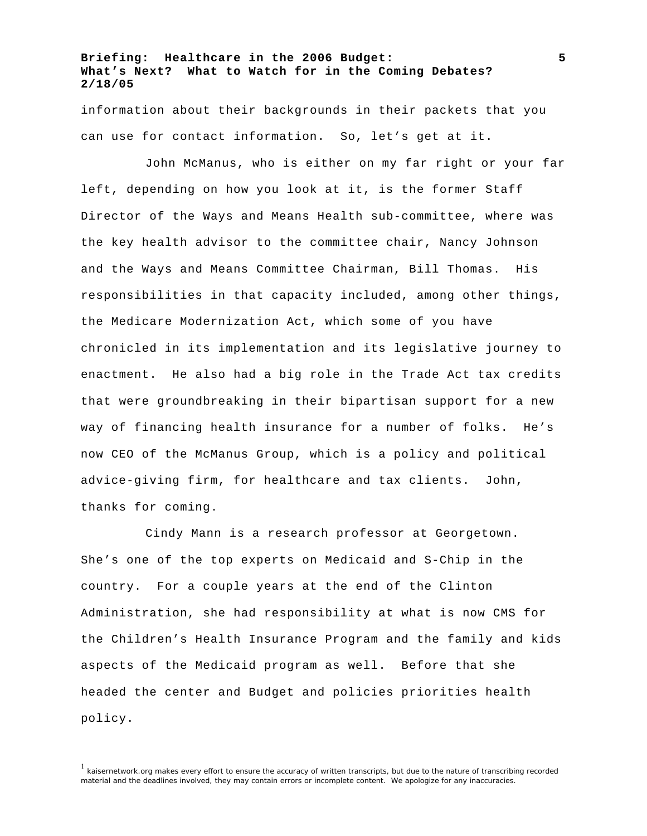information about their backgrounds in their packets that you can use for contact information. So, let's get at it.

John McManus, who is either on my far right or your far left, depending on how you look at it, is the former Staff Director of the Ways and Means Health sub-committee, where was the key health advisor to the committee chair, Nancy Johnson and the Ways and Means Committee Chairman, Bill Thomas. His responsibilities in that capacity included, among other things, the Medicare Modernization Act, which some of you have chronicled in its implementation and its legislative journey to enactment. He also had a big role in the Trade Act tax credits that were groundbreaking in their bipartisan support for a new way of financing health insurance for a number of folks. He's now CEO of the McManus Group, which is a policy and political advice-giving firm, for healthcare and tax clients. John, thanks for coming.

Cindy Mann is a research professor at Georgetown. She's one of the top experts on Medicaid and S-Chip in the country. For a couple years at the end of the Clinton Administration, she had responsibility at what is now CMS for the Children's Health Insurance Program and the family and kids aspects of the Medicaid program as well. Before that she headed the center and Budget and policies priorities health policy.

<sup>&</sup>lt;sup>1</sup> kaisernetwork.org makes every effort to ensure the accuracy of written transcripts, but due to the nature of transcribing recorded material and the deadlines involved, they may contain errors or incomplete content. We apologize for any inaccuracies.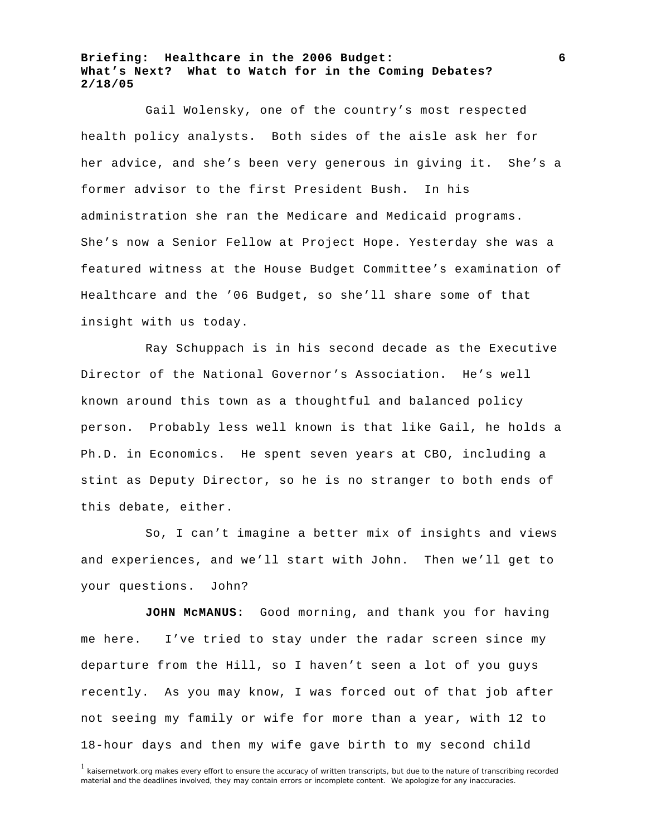Gail Wolensky, one of the country's most respected health policy analysts. Both sides of the aisle ask her for her advice, and she's been very generous in giving it. She's a former advisor to the first President Bush. In his administration she ran the Medicare and Medicaid programs. She's now a Senior Fellow at Project Hope. Yesterday she was a featured witness at the House Budget Committee's examination of Healthcare and the '06 Budget, so she'll share some of that insight with us today.

Ray Schuppach is in his second decade as the Executive Director of the National Governor's Association. He's well known around this town as a thoughtful and balanced policy person. Probably less well known is that like Gail, he holds a Ph.D. in Economics. He spent seven years at CBO, including a stint as Deputy Director, so he is no stranger to both ends of this debate, either.

So, I can't imagine a better mix of insights and views and experiences, and we'll start with John. Then we'll get to your questions. John?

**JOHN McMANUS:** Good morning, and thank you for having me here. I've tried to stay under the radar screen since my departure from the Hill, so I haven't seen a lot of you guys recently. As you may know, I was forced out of that job after not seeing my family or wife for more than a year, with 12 to 18-hour days and then my wife gave birth to my second child

<sup>&</sup>lt;sup>1</sup> kaisernetwork.org makes every effort to ensure the accuracy of written transcripts, but due to the nature of transcribing recorded material and the deadlines involved, they may contain errors or incomplete content. We apologize for any inaccuracies.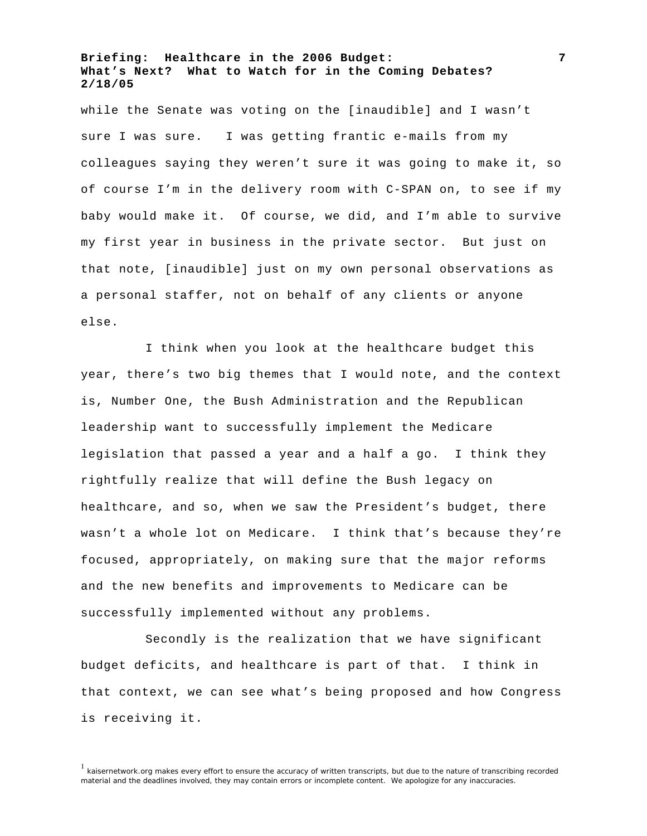while the Senate was voting on the [inaudible] and I wasn't sure I was sure. I was getting frantic e-mails from my colleagues saying they weren't sure it was going to make it, so of course I'm in the delivery room with C-SPAN on, to see if my baby would make it. Of course, we did, and I'm able to survive my first year in business in the private sector. But just on that note, [inaudible] just on my own personal observations as a personal staffer, not on behalf of any clients or anyone else.

I think when you look at the healthcare budget this year, there's two big themes that I would note, and the context is, Number One, the Bush Administration and the Republican leadership want to successfully implement the Medicare legislation that passed a year and a half a go. I think they rightfully realize that will define the Bush legacy on healthcare, and so, when we saw the President's budget, there wasn't a whole lot on Medicare. I think that's because they're focused, appropriately, on making sure that the major reforms and the new benefits and improvements to Medicare can be successfully implemented without any problems.

Secondly is the realization that we have significant budget deficits, and healthcare is part of that. I think in that context, we can see what's being proposed and how Congress is receiving it.

**7**

<sup>&</sup>lt;sup>1</sup> kaisernetwork.org makes every effort to ensure the accuracy of written transcripts, but due to the nature of transcribing recorded material and the deadlines involved, they may contain errors or incomplete content. We apologize for any inaccuracies.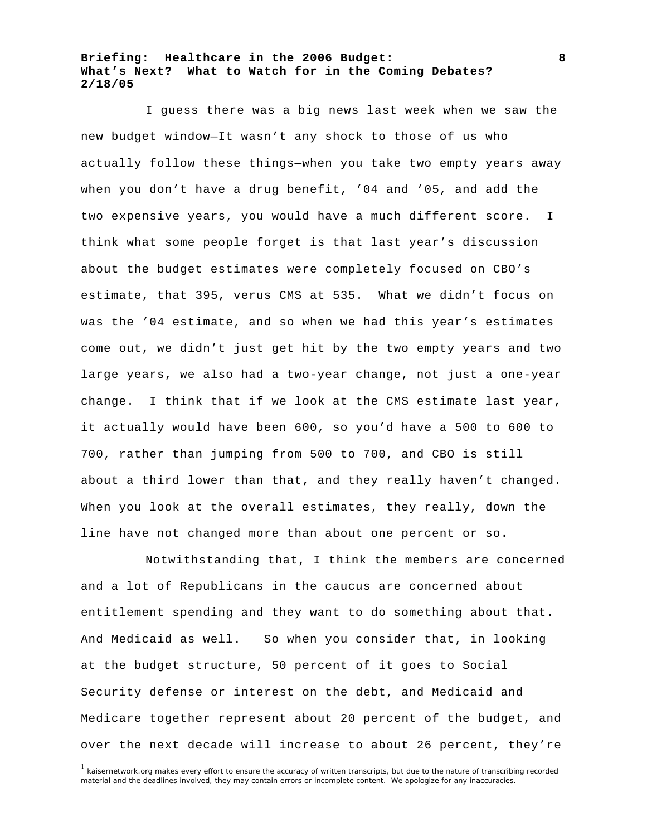I guess there was a big news last week when we saw the new budget window—It wasn't any shock to those of us who actually follow these things—when you take two empty years away when you don't have a drug benefit, '04 and '05, and add the two expensive years, you would have a much different score. I think what some people forget is that last year's discussion about the budget estimates were completely focused on CBO's estimate, that 395, verus CMS at 535. What we didn't focus on was the '04 estimate, and so when we had this year's estimates come out, we didn't just get hit by the two empty years and two large years, we also had a two-year change, not just a one-year change. I think that if we look at the CMS estimate last year, it actually would have been 600, so you'd have a 500 to 600 to 700, rather than jumping from 500 to 700, and CBO is still about a third lower than that, and they really haven't changed. When you look at the overall estimates, they really, down the line have not changed more than about one percent or so.

Notwithstanding that, I think the members are concerned and a lot of Republicans in the caucus are concerned about entitlement spending and they want to do something about that. And Medicaid as well. So when you consider that, in looking at the budget structure, 50 percent of it goes to Social Security defense or interest on the debt, and Medicaid and Medicare together represent about 20 percent of the budget, and over the next decade will increase to about 26 percent, they're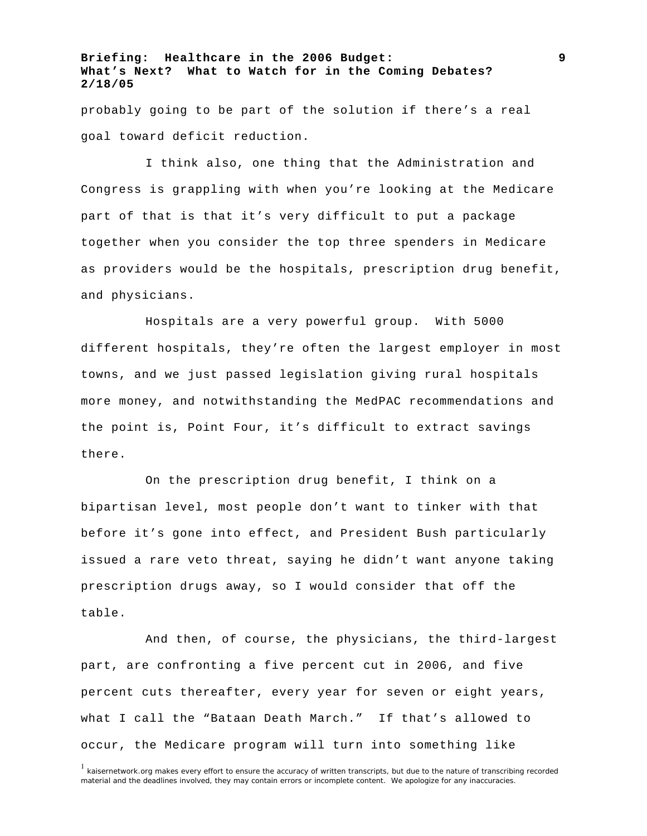probably going to be part of the solution if there's a real goal toward deficit reduction.

I think also, one thing that the Administration and Congress is grappling with when you're looking at the Medicare part of that is that it's very difficult to put a package together when you consider the top three spenders in Medicare as providers would be the hospitals, prescription drug benefit, and physicians.

Hospitals are a very powerful group. With 5000 different hospitals, they're often the largest employer in most towns, and we just passed legislation giving rural hospitals more money, and notwithstanding the MedPAC recommendations and the point is, Point Four, it's difficult to extract savings there.

On the prescription drug benefit, I think on a bipartisan level, most people don't want to tinker with that before it's gone into effect, and President Bush particularly issued a rare veto threat, saying he didn't want anyone taking prescription drugs away, so I would consider that off the table.

And then, of course, the physicians, the third-largest part, are confronting a five percent cut in 2006, and five percent cuts thereafter, every year for seven or eight years, what I call the "Bataan Death March." If that's allowed to occur, the Medicare program will turn into something like

**9**

<sup>&</sup>lt;sup>1</sup> kaisernetwork.org makes every effort to ensure the accuracy of written transcripts, but due to the nature of transcribing recorded material and the deadlines involved, they may contain errors or incomplete content. We apologize for any inaccuracies.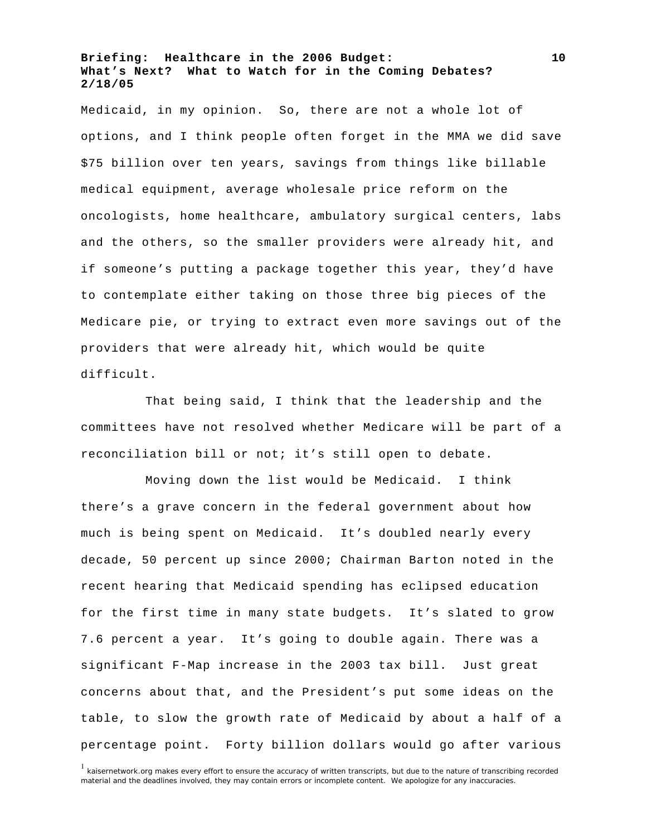Medicaid, in my opinion. So, there are not a whole lot of options, and I think people often forget in the MMA we did save \$75 billion over ten years, savings from things like billable medical equipment, average wholesale price reform on the oncologists, home healthcare, ambulatory surgical centers, labs and the others, so the smaller providers were already hit, and if someone's putting a package together this year, they'd have to contemplate either taking on those three big pieces of the Medicare pie, or trying to extract even more savings out of the providers that were already hit, which would be quite difficult.

That being said, I think that the leadership and the committees have not resolved whether Medicare will be part of a reconciliation bill or not; it's still open to debate.

Moving down the list would be Medicaid. I think there's a grave concern in the federal government about how much is being spent on Medicaid. It's doubled nearly every decade, 50 percent up since 2000; Chairman Barton noted in the recent hearing that Medicaid spending has eclipsed education for the first time in many state budgets. It's slated to grow 7.6 percent a year. It's going to double again. There was a significant F-Map increase in the 2003 tax bill. Just great concerns about that, and the President's put some ideas on the table, to slow the growth rate of Medicaid by about a half of a percentage point. Forty billion dollars would go after various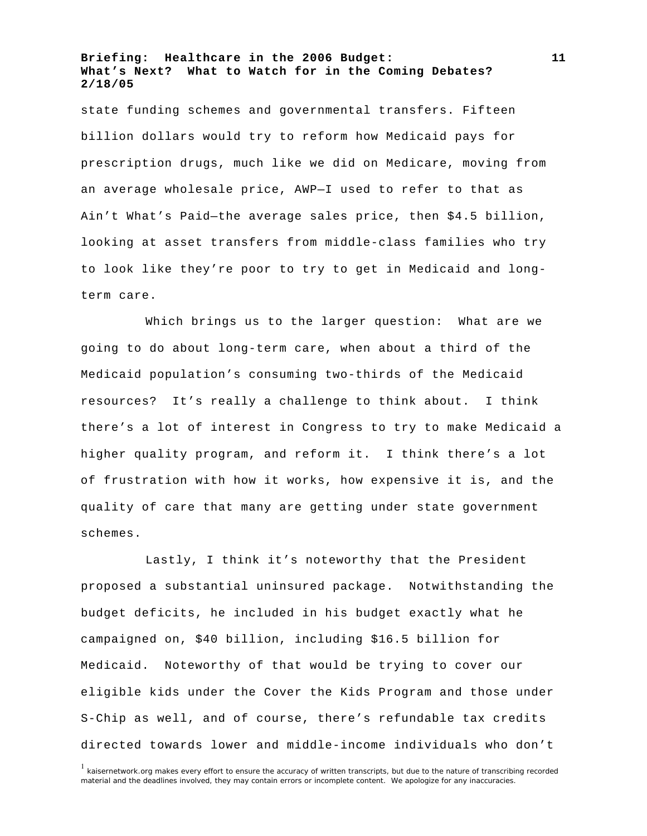state funding schemes and governmental transfers. Fifteen billion dollars would try to reform how Medicaid pays for prescription drugs, much like we did on Medicare, moving from an average wholesale price, AWP—I used to refer to that as Ain't What's Paid—the average sales price, then \$4.5 billion, looking at asset transfers from middle-class families who try to look like they're poor to try to get in Medicaid and longterm care.

Which brings us to the larger question: What are we going to do about long-term care, when about a third of the Medicaid population's consuming two-thirds of the Medicaid resources? It's really a challenge to think about. I think there's a lot of interest in Congress to try to make Medicaid a higher quality program, and reform it. I think there's a lot of frustration with how it works, how expensive it is, and the quality of care that many are getting under state government schemes.

Lastly, I think it's noteworthy that the President proposed a substantial uninsured package. Notwithstanding the budget deficits, he included in his budget exactly what he campaigned on, \$40 billion, including \$16.5 billion for Medicaid. Noteworthy of that would be trying to cover our eligible kids under the Cover the Kids Program and those under S-Chip as well, and of course, there's refundable tax credits directed towards lower and middle-income individuals who don't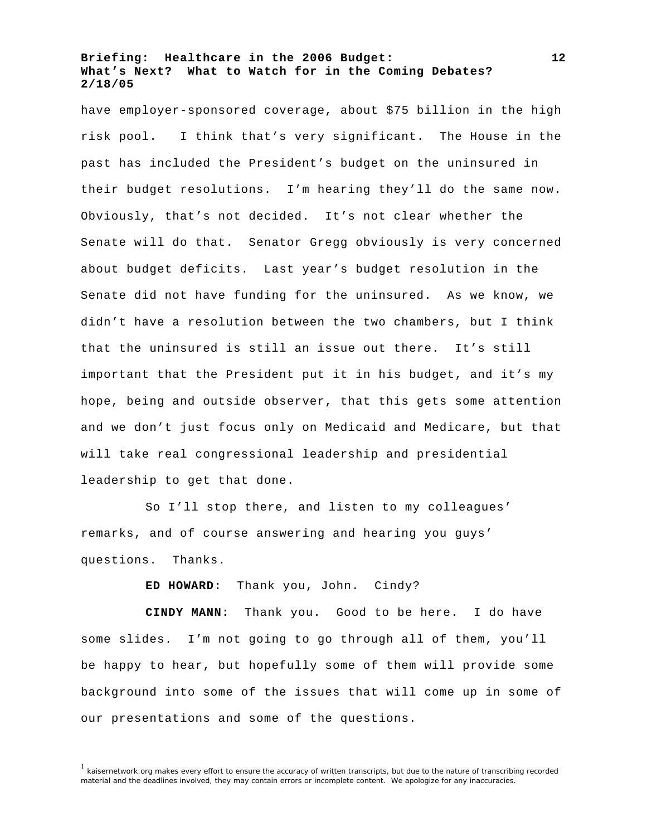have employer-sponsored coverage, about \$75 billion in the high risk pool. I think that's very significant. The House in the past has included the President's budget on the uninsured in their budget resolutions. I'm hearing they'll do the same now. Obviously, that's not decided. It's not clear whether the Senate will do that. Senator Gregg obviously is very concerned about budget deficits. Last year's budget resolution in the Senate did not have funding for the uninsured. As we know, we didn't have a resolution between the two chambers, but I think that the uninsured is still an issue out there. It's still important that the President put it in his budget, and it's my hope, being and outside observer, that this gets some attention and we don't just focus only on Medicaid and Medicare, but that will take real congressional leadership and presidential leadership to get that done.

So I'll stop there, and listen to my colleagues' remarks, and of course answering and hearing you guys' questions. Thanks.

**ED HOWARD:** Thank you, John. Cindy?

**CINDY MANN:** Thank you. Good to be here. I do have some slides. I'm not going to go through all of them, you'll be happy to hear, but hopefully some of them will provide some background into some of the issues that will come up in some of our presentations and some of the questions.

<sup>&</sup>lt;sup>1</sup> kaisernetwork.org makes every effort to ensure the accuracy of written transcripts, but due to the nature of transcribing recorded material and the deadlines involved, they may contain errors or incomplete content. We apologize for any inaccuracies.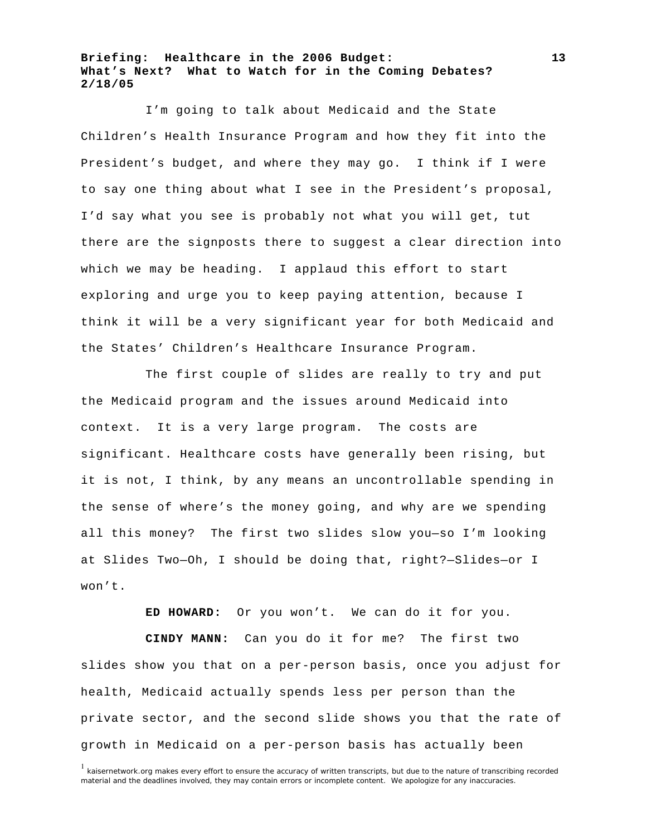I'm going to talk about Medicaid and the State Children's Health Insurance Program and how they fit into the President's budget, and where they may go. I think if I were to say one thing about what I see in the President's proposal, I'd say what you see is probably not what you will get, tut there are the signposts there to suggest a clear direction into which we may be heading. I applaud this effort to start exploring and urge you to keep paying attention, because I think it will be a very significant year for both Medicaid and the States' Children's Healthcare Insurance Program.

The first couple of slides are really to try and put the Medicaid program and the issues around Medicaid into context. It is a very large program. The costs are significant. Healthcare costs have generally been rising, but it is not, I think, by any means an uncontrollable spending in the sense of where's the money going, and why are we spending all this money? The first two slides slow you—so I'm looking at Slides Two—Oh, I should be doing that, right?—Slides—or I won't.

**ED HOWARD:** Or you won't. We can do it for you.

**CINDY MANN:** Can you do it for me? The first two slides show you that on a per-person basis, once you adjust for health, Medicaid actually spends less per person than the private sector, and the second slide shows you that the rate of growth in Medicaid on a per-person basis has actually been

**13**

<sup>&</sup>lt;sup>1</sup> kaisernetwork.org makes every effort to ensure the accuracy of written transcripts, but due to the nature of transcribing recorded material and the deadlines involved, they may contain errors or incomplete content. We apologize for any inaccuracies.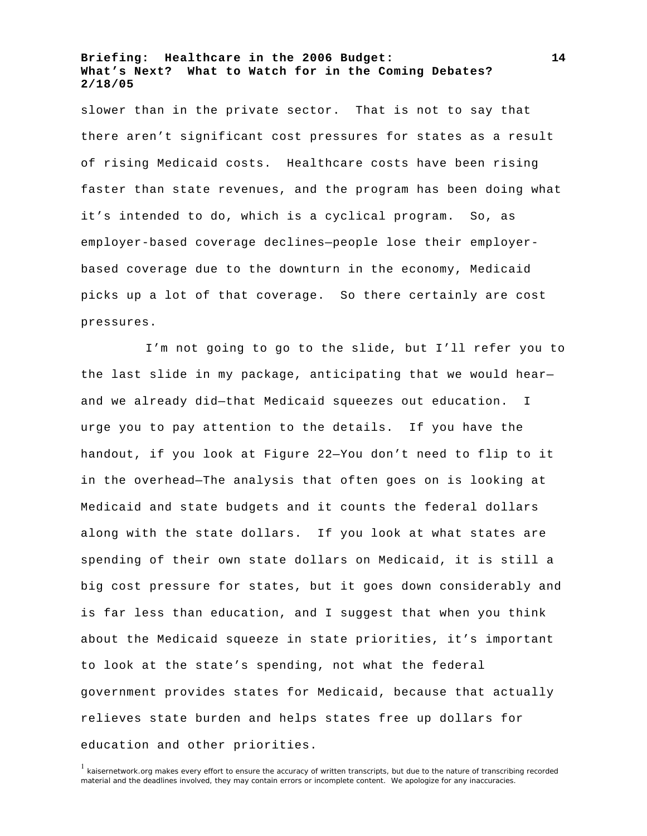slower than in the private sector. That is not to say that there aren't significant cost pressures for states as a result of rising Medicaid costs. Healthcare costs have been rising faster than state revenues, and the program has been doing what it's intended to do, which is a cyclical program. So, as employer-based coverage declines—people lose their employerbased coverage due to the downturn in the economy, Medicaid picks up a lot of that coverage. So there certainly are cost pressures.

I'm not going to go to the slide, but I'll refer you to the last slide in my package, anticipating that we would hear and we already did—that Medicaid squeezes out education. I urge you to pay attention to the details. If you have the handout, if you look at Figure 22—You don't need to flip to it in the overhead—The analysis that often goes on is looking at Medicaid and state budgets and it counts the federal dollars along with the state dollars. If you look at what states are spending of their own state dollars on Medicaid, it is still a big cost pressure for states, but it goes down considerably and is far less than education, and I suggest that when you think about the Medicaid squeeze in state priorities, it's important to look at the state's spending, not what the federal government provides states for Medicaid, because that actually relieves state burden and helps states free up dollars for education and other priorities.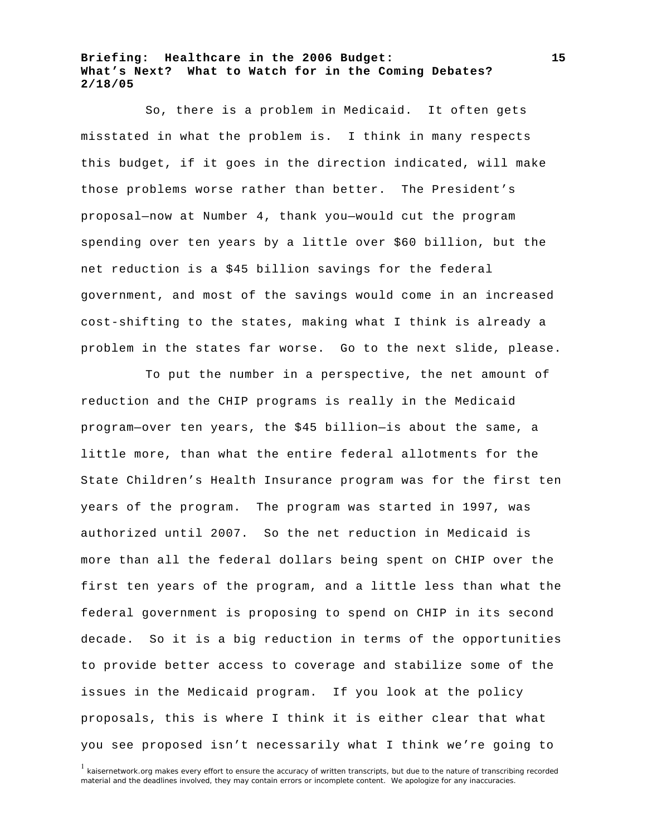So, there is a problem in Medicaid. It often gets misstated in what the problem is. I think in many respects this budget, if it goes in the direction indicated, will make those problems worse rather than better. The President's proposal—now at Number 4, thank you—would cut the program spending over ten years by a little over \$60 billion, but the net reduction is a \$45 billion savings for the federal government, and most of the savings would come in an increased cost-shifting to the states, making what I think is already a problem in the states far worse. Go to the next slide, please.

To put the number in a perspective, the net amount of reduction and the CHIP programs is really in the Medicaid program—over ten years, the \$45 billion—is about the same, a little more, than what the entire federal allotments for the State Children's Health Insurance program was for the first ten years of the program. The program was started in 1997, was authorized until 2007. So the net reduction in Medicaid is more than all the federal dollars being spent on CHIP over the first ten years of the program, and a little less than what the federal government is proposing to spend on CHIP in its second decade. So it is a big reduction in terms of the opportunities to provide better access to coverage and stabilize some of the issues in the Medicaid program. If you look at the policy proposals, this is where I think it is either clear that what you see proposed isn't necessarily what I think we're going to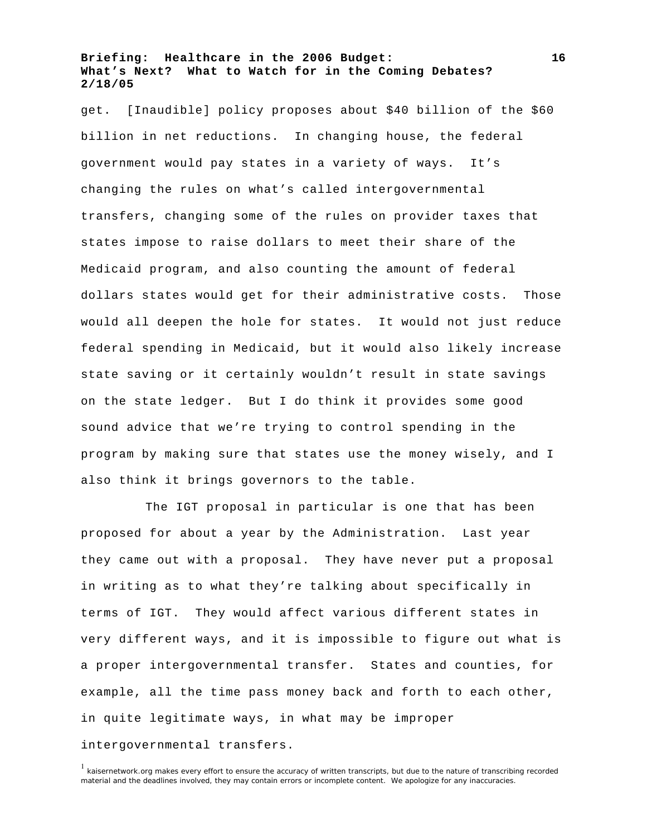get. [Inaudible] policy proposes about \$40 billion of the \$60 billion in net reductions. In changing house, the federal government would pay states in a variety of ways. It's changing the rules on what's called intergovernmental transfers, changing some of the rules on provider taxes that states impose to raise dollars to meet their share of the Medicaid program, and also counting the amount of federal dollars states would get for their administrative costs. Those would all deepen the hole for states. It would not just reduce federal spending in Medicaid, but it would also likely increase state saving or it certainly wouldn't result in state savings on the state ledger. But I do think it provides some good sound advice that we're trying to control spending in the program by making sure that states use the money wisely, and I also think it brings governors to the table.

The IGT proposal in particular is one that has been proposed for about a year by the Administration. Last year they came out with a proposal. They have never put a proposal in writing as to what they're talking about specifically in terms of IGT. They would affect various different states in very different ways, and it is impossible to figure out what is a proper intergovernmental transfer. States and counties, for example, all the time pass money back and forth to each other, in quite legitimate ways, in what may be improper intergovernmental transfers.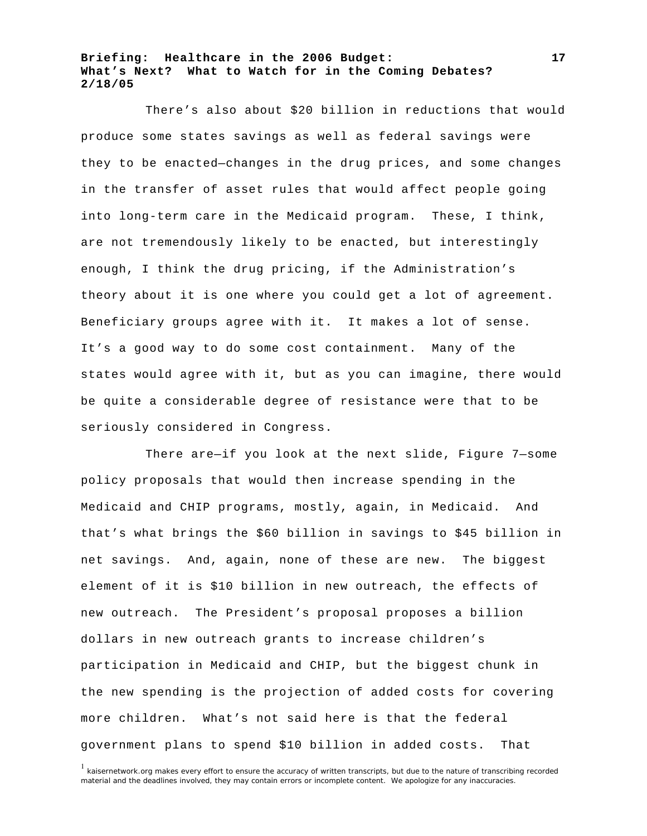There's also about \$20 billion in reductions that would produce some states savings as well as federal savings were they to be enacted—changes in the drug prices, and some changes in the transfer of asset rules that would affect people going into long-term care in the Medicaid program. These, I think, are not tremendously likely to be enacted, but interestingly enough, I think the drug pricing, if the Administration's theory about it is one where you could get a lot of agreement. Beneficiary groups agree with it. It makes a lot of sense. It's a good way to do some cost containment. Many of the states would agree with it, but as you can imagine, there would be quite a considerable degree of resistance were that to be seriously considered in Congress.

There are—if you look at the next slide, Figure 7—some policy proposals that would then increase spending in the Medicaid and CHIP programs, mostly, again, in Medicaid. And that's what brings the \$60 billion in savings to \$45 billion in net savings. And, again, none of these are new. The biggest element of it is \$10 billion in new outreach, the effects of new outreach. The President's proposal proposes a billion dollars in new outreach grants to increase children's participation in Medicaid and CHIP, but the biggest chunk in the new spending is the projection of added costs for covering more children. What's not said here is that the federal government plans to spend \$10 billion in added costs. That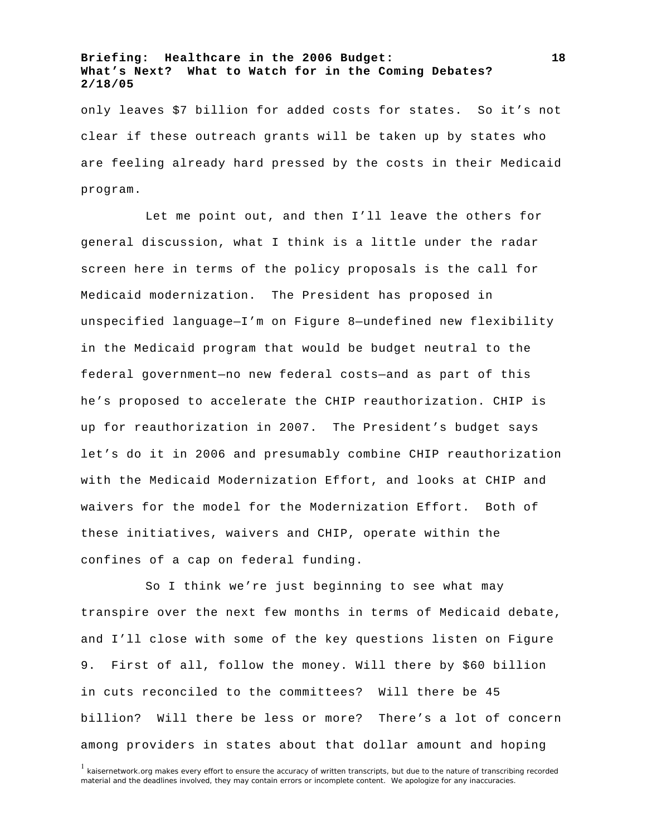only leaves \$7 billion for added costs for states. So it's not clear if these outreach grants will be taken up by states who are feeling already hard pressed by the costs in their Medicaid program.

Let me point out, and then I'll leave the others for general discussion, what I think is a little under the radar screen here in terms of the policy proposals is the call for Medicaid modernization. The President has proposed in unspecified language—I'm on Figure 8—undefined new flexibility in the Medicaid program that would be budget neutral to the federal government—no new federal costs—and as part of this he's proposed to accelerate the CHIP reauthorization. CHIP is up for reauthorization in 2007. The President's budget says let's do it in 2006 and presumably combine CHIP reauthorization with the Medicaid Modernization Effort, and looks at CHIP and waivers for the model for the Modernization Effort. Both of these initiatives, waivers and CHIP, operate within the confines of a cap on federal funding.

So I think we're just beginning to see what may transpire over the next few months in terms of Medicaid debate, and I'll close with some of the key questions listen on Figure 9. First of all, follow the money. Will there by \$60 billion in cuts reconciled to the committees? Will there be 45 billion? Will there be less or more? There's a lot of concern among providers in states about that dollar amount and hoping

**18**

<sup>&</sup>lt;sup>1</sup> kaisernetwork.org makes every effort to ensure the accuracy of written transcripts, but due to the nature of transcribing recorded material and the deadlines involved, they may contain errors or incomplete content. We apologize for any inaccuracies.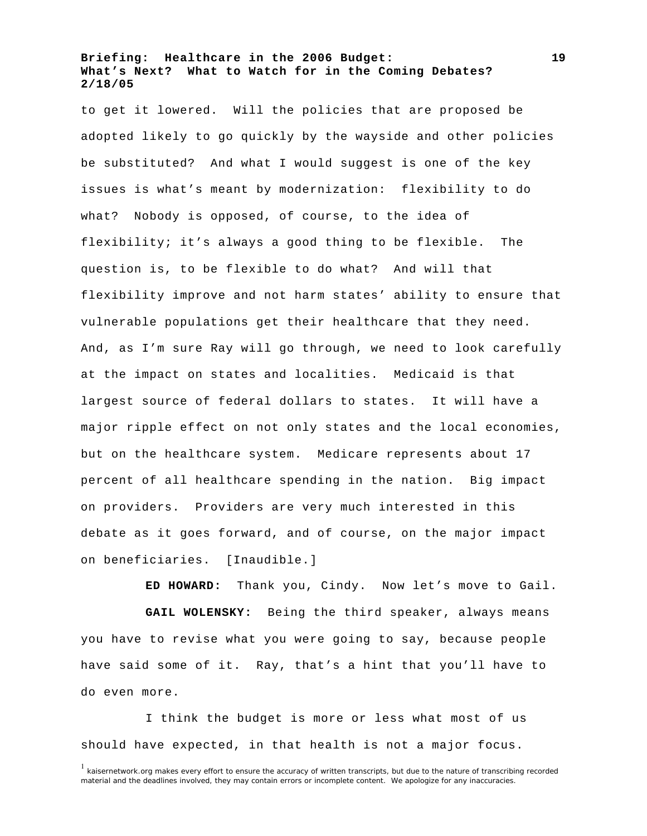to get it lowered. Will the policies that are proposed be adopted likely to go quickly by the wayside and other policies be substituted? And what I would suggest is one of the key issues is what's meant by modernization: flexibility to do what? Nobody is opposed, of course, to the idea of flexibility; it's always a good thing to be flexible. The question is, to be flexible to do what? And will that flexibility improve and not harm states' ability to ensure that vulnerable populations get their healthcare that they need. And, as I'm sure Ray will go through, we need to look carefully at the impact on states and localities. Medicaid is that largest source of federal dollars to states. It will have a major ripple effect on not only states and the local economies, but on the healthcare system. Medicare represents about 17 percent of all healthcare spending in the nation. Big impact on providers. Providers are very much interested in this debate as it goes forward, and of course, on the major impact on beneficiaries. [Inaudible.]

**ED HOWARD:** Thank you, Cindy. Now let's move to Gail. **GAIL WOLENSKY:** Being the third speaker, always means you have to revise what you were going to say, because people have said some of it. Ray, that's a hint that you'll have to do even more.

I think the budget is more or less what most of us should have expected, in that health is not a major focus.

**19**

<sup>&</sup>lt;sup>1</sup> kaisernetwork.org makes every effort to ensure the accuracy of written transcripts, but due to the nature of transcribing recorded material and the deadlines involved, they may contain errors or incomplete content. We apologize for any inaccuracies.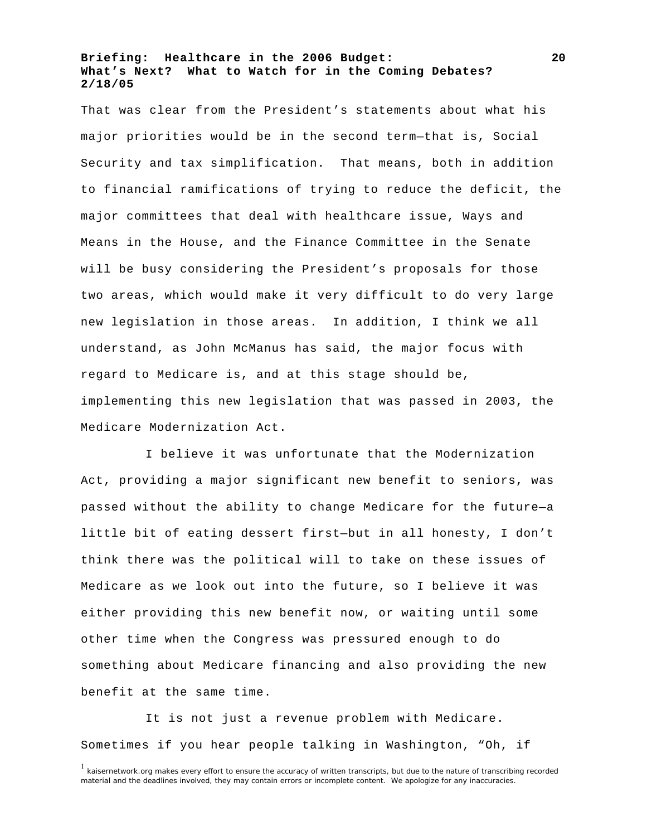That was clear from the President's statements about what his major priorities would be in the second term—that is, Social Security and tax simplification. That means, both in addition to financial ramifications of trying to reduce the deficit, the major committees that deal with healthcare issue, Ways and Means in the House, and the Finance Committee in the Senate will be busy considering the President's proposals for those two areas, which would make it very difficult to do very large new legislation in those areas. In addition, I think we all understand, as John McManus has said, the major focus with regard to Medicare is, and at this stage should be, implementing this new legislation that was passed in 2003, the Medicare Modernization Act.

I believe it was unfortunate that the Modernization Act, providing a major significant new benefit to seniors, was passed without the ability to change Medicare for the future—a little bit of eating dessert first—but in all honesty, I don't think there was the political will to take on these issues of Medicare as we look out into the future, so I believe it was either providing this new benefit now, or waiting until some other time when the Congress was pressured enough to do something about Medicare financing and also providing the new benefit at the same time.

It is not just a revenue problem with Medicare. Sometimes if you hear people talking in Washington, "Oh, if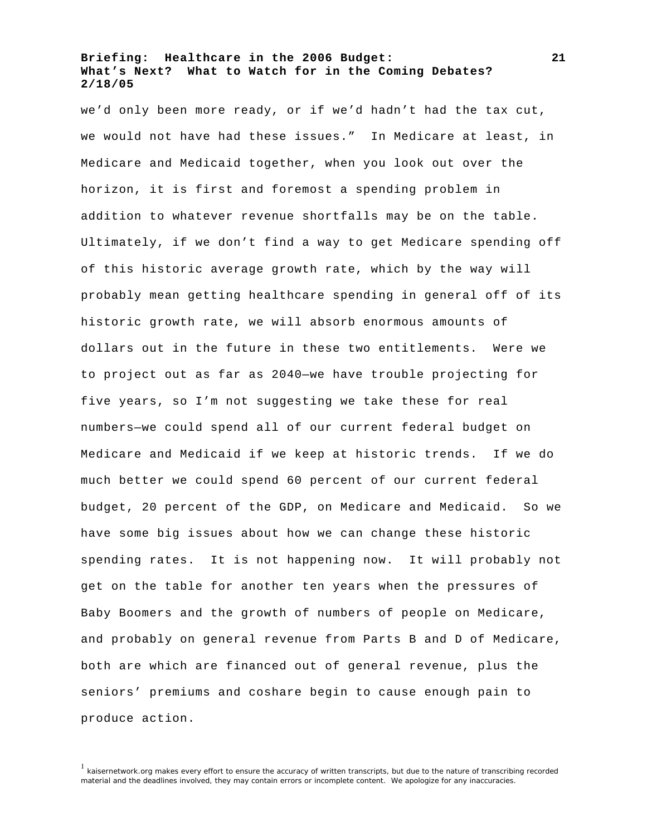we'd only been more ready, or if we'd hadn't had the tax cut, we would not have had these issues." In Medicare at least, in Medicare and Medicaid together, when you look out over the horizon, it is first and foremost a spending problem in addition to whatever revenue shortfalls may be on the table. Ultimately, if we don't find a way to get Medicare spending off of this historic average growth rate, which by the way will probably mean getting healthcare spending in general off of its historic growth rate, we will absorb enormous amounts of dollars out in the future in these two entitlements. Were we to project out as far as 2040—we have trouble projecting for five years, so I'm not suggesting we take these for real numbers—we could spend all of our current federal budget on Medicare and Medicaid if we keep at historic trends. If we do much better we could spend 60 percent of our current federal budget, 20 percent of the GDP, on Medicare and Medicaid. So we have some big issues about how we can change these historic spending rates. It is not happening now. It will probably not get on the table for another ten years when the pressures of Baby Boomers and the growth of numbers of people on Medicare, and probably on general revenue from Parts B and D of Medicare, both are which are financed out of general revenue, plus the seniors' premiums and coshare begin to cause enough pain to produce action.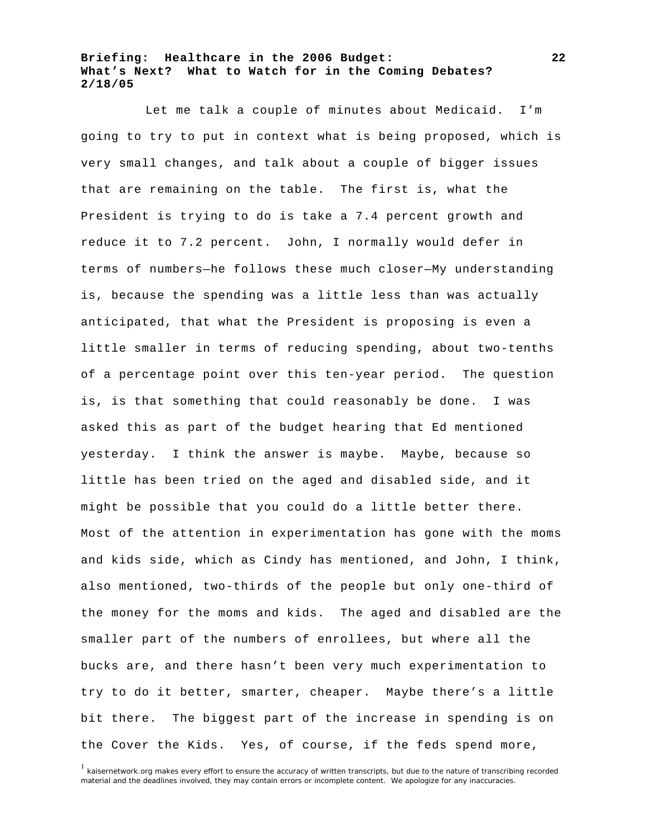Let me talk a couple of minutes about Medicaid. I'm going to try to put in context what is being proposed, which is very small changes, and talk about a couple of bigger issues that are remaining on the table. The first is, what the President is trying to do is take a 7.4 percent growth and reduce it to 7.2 percent. John, I normally would defer in terms of numbers—he follows these much closer—My understanding is, because the spending was a little less than was actually anticipated, that what the President is proposing is even a little smaller in terms of reducing spending, about two-tenths of a percentage point over this ten-year period. The question is, is that something that could reasonably be done. I was asked this as part of the budget hearing that Ed mentioned yesterday. I think the answer is maybe. Maybe, because so little has been tried on the aged and disabled side, and it might be possible that you could do a little better there. Most of the attention in experimentation has gone with the moms and kids side, which as Cindy has mentioned, and John, I think, also mentioned, two-thirds of the people but only one-third of the money for the moms and kids. The aged and disabled are the smaller part of the numbers of enrollees, but where all the bucks are, and there hasn't been very much experimentation to try to do it better, smarter, cheaper. Maybe there's a little bit there. The biggest part of the increase in spending is on the Cover the Kids. Yes, of course, if the feds spend more,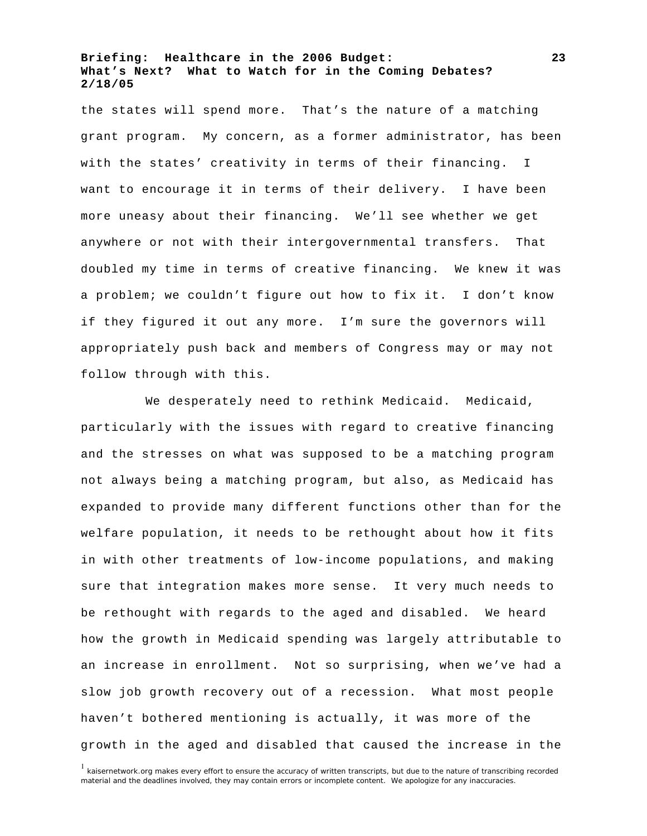the states will spend more. That's the nature of a matching grant program. My concern, as a former administrator, has been with the states' creativity in terms of their financing. I want to encourage it in terms of their delivery. I have been more uneasy about their financing. We'll see whether we get anywhere or not with their intergovernmental transfers. That doubled my time in terms of creative financing. We knew it was a problem; we couldn't figure out how to fix it. I don't know if they figured it out any more. I'm sure the governors will appropriately push back and members of Congress may or may not follow through with this.

We desperately need to rethink Medicaid. Medicaid, particularly with the issues with regard to creative financing and the stresses on what was supposed to be a matching program not always being a matching program, but also, as Medicaid has expanded to provide many different functions other than for the welfare population, it needs to be rethought about how it fits in with other treatments of low-income populations, and making sure that integration makes more sense. It very much needs to be rethought with regards to the aged and disabled. We heard how the growth in Medicaid spending was largely attributable to an increase in enrollment. Not so surprising, when we've had a slow job growth recovery out of a recession. What most people haven't bothered mentioning is actually, it was more of the growth in the aged and disabled that caused the increase in the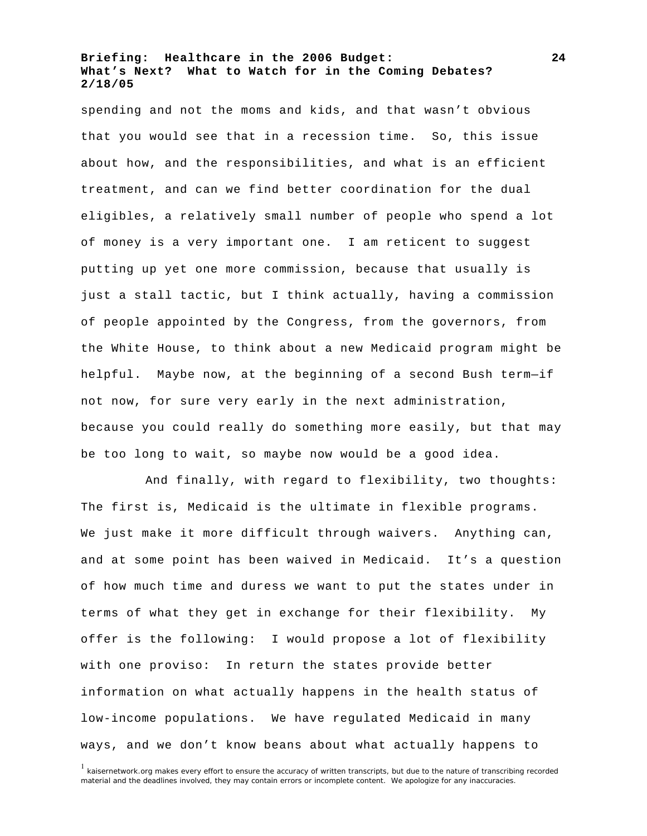spending and not the moms and kids, and that wasn't obvious that you would see that in a recession time. So, this issue about how, and the responsibilities, and what is an efficient treatment, and can we find better coordination for the dual eligibles, a relatively small number of people who spend a lot of money is a very important one. I am reticent to suggest putting up yet one more commission, because that usually is just a stall tactic, but I think actually, having a commission of people appointed by the Congress, from the governors, from the White House, to think about a new Medicaid program might be helpful. Maybe now, at the beginning of a second Bush term—if not now, for sure very early in the next administration, because you could really do something more easily, but that may be too long to wait, so maybe now would be a good idea.

And finally, with regard to flexibility, two thoughts: The first is, Medicaid is the ultimate in flexible programs. We just make it more difficult through waivers. Anything can, and at some point has been waived in Medicaid. It's a question of how much time and duress we want to put the states under in terms of what they get in exchange for their flexibility. My offer is the following: I would propose a lot of flexibility with one proviso: In return the states provide better information on what actually happens in the health status of low-income populations. We have regulated Medicaid in many ways, and we don't know beans about what actually happens to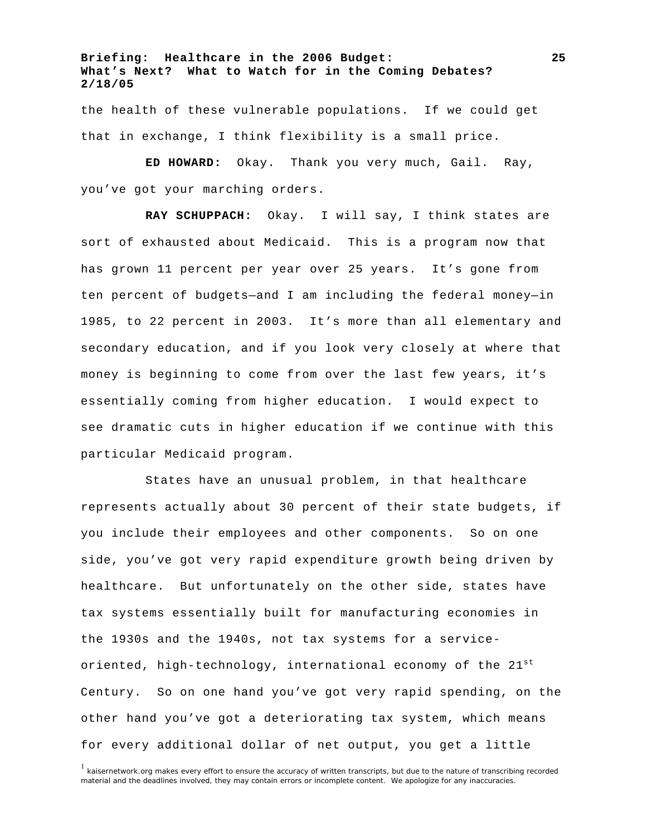the health of these vulnerable populations. If we could get that in exchange, I think flexibility is a small price.

**ED HOWARD:** Okay. Thank you very much, Gail. Ray, you've got your marching orders.

**RAY SCHUPPACH:** Okay. I will say, I think states are sort of exhausted about Medicaid. This is a program now that has grown 11 percent per year over 25 years. It's gone from ten percent of budgets—and I am including the federal money—in 1985, to 22 percent in 2003. It's more than all elementary and secondary education, and if you look very closely at where that money is beginning to come from over the last few years, it's essentially coming from higher education. I would expect to see dramatic cuts in higher education if we continue with this particular Medicaid program.

States have an unusual problem, in that healthcare represents actually about 30 percent of their state budgets, if you include their employees and other components. So on one side, you've got very rapid expenditure growth being driven by healthcare. But unfortunately on the other side, states have tax systems essentially built for manufacturing economies in the 1930s and the 1940s, not tax systems for a serviceoriented, high-technology, international economy of the  $21^{st}$ Century. So on one hand you've got very rapid spending, on the other hand you've got a deteriorating tax system, which means for every additional dollar of net output, you get a little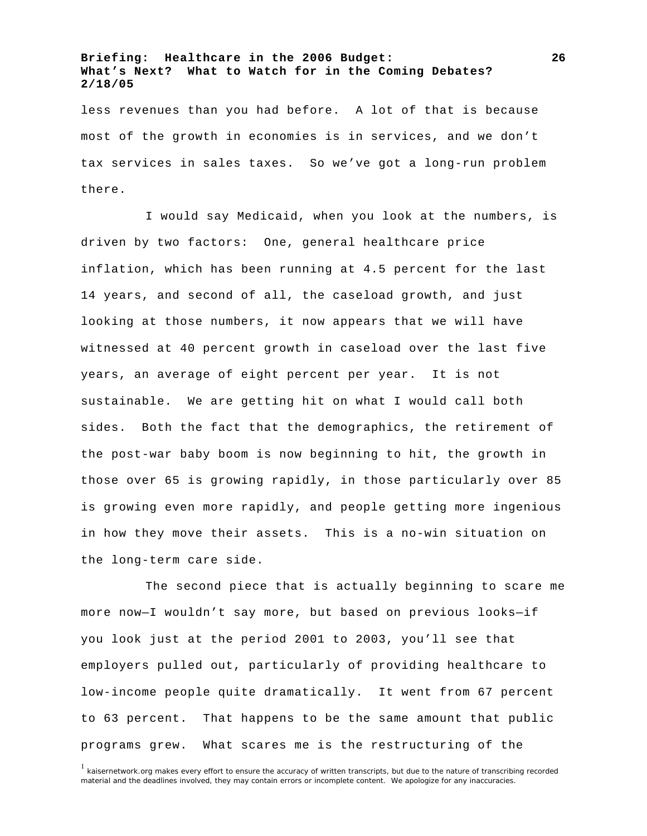less revenues than you had before. A lot of that is because most of the growth in economies is in services, and we don't tax services in sales taxes. So we've got a long-run problem there.

I would say Medicaid, when you look at the numbers, is driven by two factors: One, general healthcare price inflation, which has been running at 4.5 percent for the last 14 years, and second of all, the caseload growth, and just looking at those numbers, it now appears that we will have witnessed at 40 percent growth in caseload over the last five years, an average of eight percent per year. It is not sustainable. We are getting hit on what I would call both sides. Both the fact that the demographics, the retirement of the post-war baby boom is now beginning to hit, the growth in those over 65 is growing rapidly, in those particularly over 85 is growing even more rapidly, and people getting more ingenious in how they move their assets. This is a no-win situation on the long-term care side.

The second piece that is actually beginning to scare me more now—I wouldn't say more, but based on previous looks—if you look just at the period 2001 to 2003, you'll see that employers pulled out, particularly of providing healthcare to low-income people quite dramatically. It went from 67 percent to 63 percent. That happens to be the same amount that public programs grew. What scares me is the restructuring of the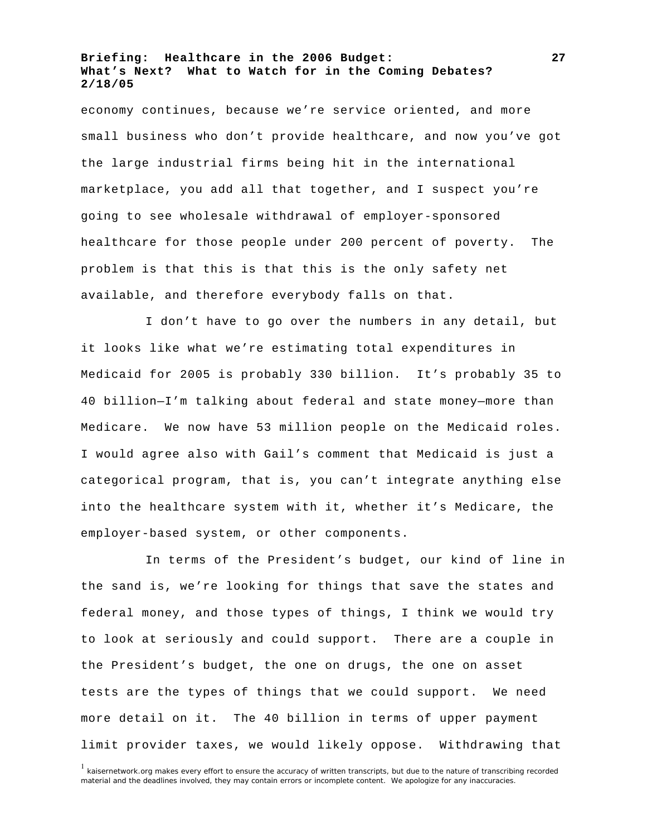economy continues, because we're service oriented, and more small business who don't provide healthcare, and now you've got the large industrial firms being hit in the international marketplace, you add all that together, and I suspect you're going to see wholesale withdrawal of employer-sponsored healthcare for those people under 200 percent of poverty. The problem is that this is that this is the only safety net available, and therefore everybody falls on that.

I don't have to go over the numbers in any detail, but it looks like what we're estimating total expenditures in Medicaid for 2005 is probably 330 billion. It's probably 35 to 40 billion—I'm talking about federal and state money—more than Medicare. We now have 53 million people on the Medicaid roles. I would agree also with Gail's comment that Medicaid is just a categorical program, that is, you can't integrate anything else into the healthcare system with it, whether it's Medicare, the employer-based system, or other components.

In terms of the President's budget, our kind of line in the sand is, we're looking for things that save the states and federal money, and those types of things, I think we would try to look at seriously and could support. There are a couple in the President's budget, the one on drugs, the one on asset tests are the types of things that we could support. We need more detail on it. The 40 billion in terms of upper payment limit provider taxes, we would likely oppose. Withdrawing that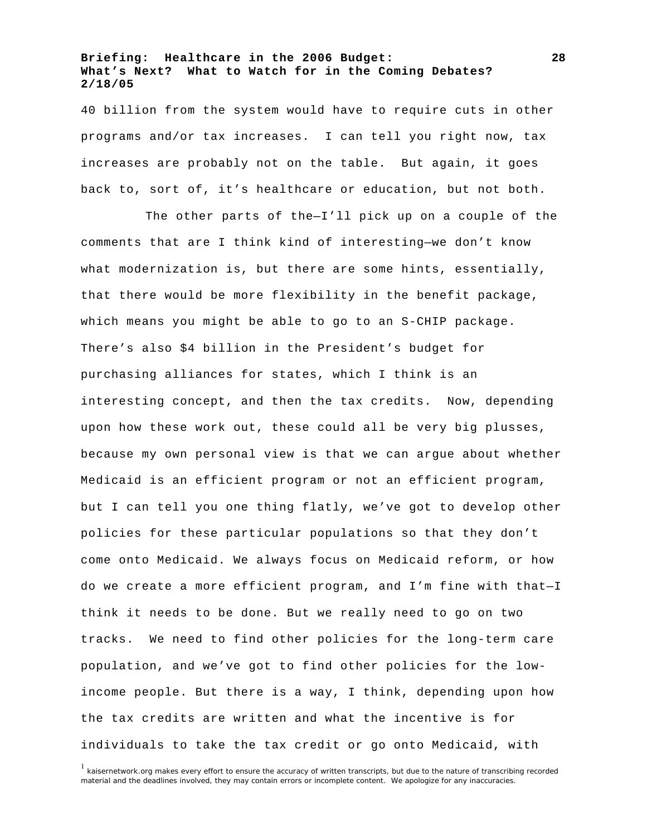40 billion from the system would have to require cuts in other programs and/or tax increases. I can tell you right now, tax increases are probably not on the table. But again, it goes back to, sort of, it's healthcare or education, but not both.

The other parts of the—I'll pick up on a couple of the comments that are I think kind of interesting—we don't know what modernization is, but there are some hints, essentially, that there would be more flexibility in the benefit package, which means you might be able to go to an S-CHIP package. There's also \$4 billion in the President's budget for purchasing alliances for states, which I think is an interesting concept, and then the tax credits. Now, depending upon how these work out, these could all be very big plusses, because my own personal view is that we can argue about whether Medicaid is an efficient program or not an efficient program, but I can tell you one thing flatly, we've got to develop other policies for these particular populations so that they don't come onto Medicaid. We always focus on Medicaid reform, or how do we create a more efficient program, and I'm fine with that—I think it needs to be done. But we really need to go on two tracks. We need to find other policies for the long-term care population, and we've got to find other policies for the lowincome people. But there is a way, I think, depending upon how the tax credits are written and what the incentive is for individuals to take the tax credit or go onto Medicaid, with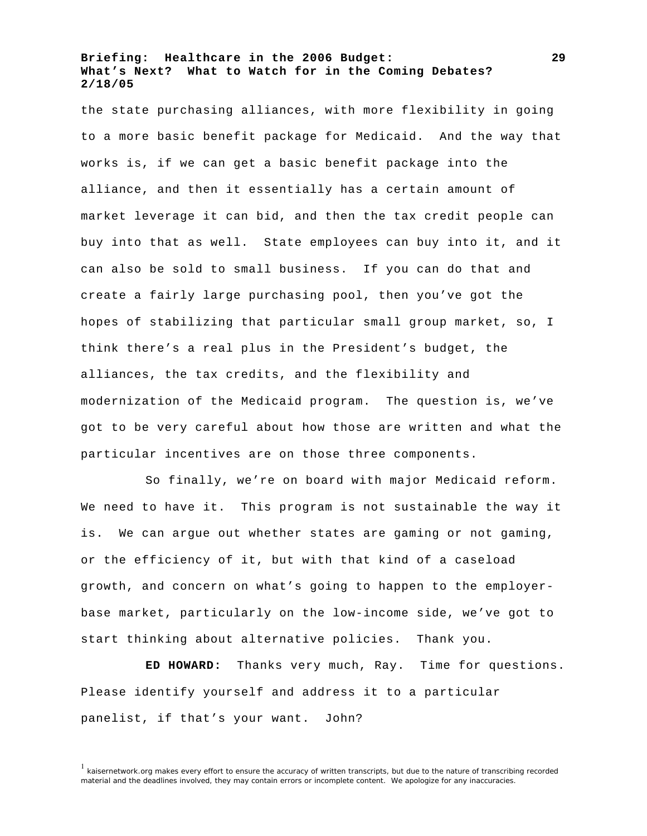the state purchasing alliances, with more flexibility in going to a more basic benefit package for Medicaid. And the way that works is, if we can get a basic benefit package into the alliance, and then it essentially has a certain amount of market leverage it can bid, and then the tax credit people can buy into that as well. State employees can buy into it, and it can also be sold to small business. If you can do that and create a fairly large purchasing pool, then you've got the hopes of stabilizing that particular small group market, so, I think there's a real plus in the President's budget, the alliances, the tax credits, and the flexibility and modernization of the Medicaid program. The question is, we've got to be very careful about how those are written and what the particular incentives are on those three components.

So finally, we're on board with major Medicaid reform. We need to have it. This program is not sustainable the way it is. We can argue out whether states are gaming or not gaming, or the efficiency of it, but with that kind of a caseload growth, and concern on what's going to happen to the employerbase market, particularly on the low-income side, we've got to start thinking about alternative policies. Thank you.

**ED HOWARD:** Thanks very much, Ray. Time for questions. Please identify yourself and address it to a particular panelist, if that's your want. John?

<sup>&</sup>lt;sup>1</sup> kaisernetwork.org makes every effort to ensure the accuracy of written transcripts, but due to the nature of transcribing recorded material and the deadlines involved, they may contain errors or incomplete content. We apologize for any inaccuracies.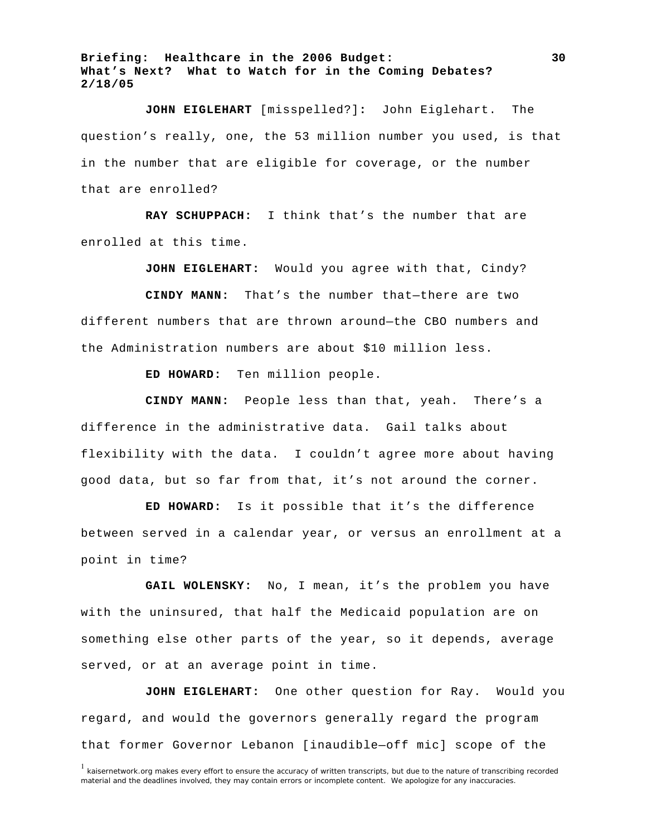**JOHN EIGLEHART** [misspelled?]**:** John Eiglehart. The question's really, one, the 53 million number you used, is that in the number that are eligible for coverage, or the number that are enrolled?

**RAY SCHUPPACH:** I think that's the number that are enrolled at this time.

**JOHN EIGLEHART:** Would you agree with that, Cindy?

**CINDY MANN:** That's the number that—there are two different numbers that are thrown around—the CBO numbers and the Administration numbers are about \$10 million less.

**ED HOWARD:** Ten million people.

**CINDY MANN:** People less than that, yeah. There's a difference in the administrative data. Gail talks about flexibility with the data. I couldn't agree more about having good data, but so far from that, it's not around the corner.

**ED HOWARD:** Is it possible that it's the difference between served in a calendar year, or versus an enrollment at a point in time?

**GAIL WOLENSKY:** No, I mean, it's the problem you have with the uninsured, that half the Medicaid population are on something else other parts of the year, so it depends, average served, or at an average point in time.

**JOHN EIGLEHART:** One other question for Ray. Would you regard, and would the governors generally regard the program that former Governor Lebanon [inaudible—off mic] scope of the

<sup>&</sup>lt;sup>1</sup> kaisernetwork.org makes every effort to ensure the accuracy of written transcripts, but due to the nature of transcribing recorded material and the deadlines involved, they may contain errors or incomplete content. We apologize for any inaccuracies.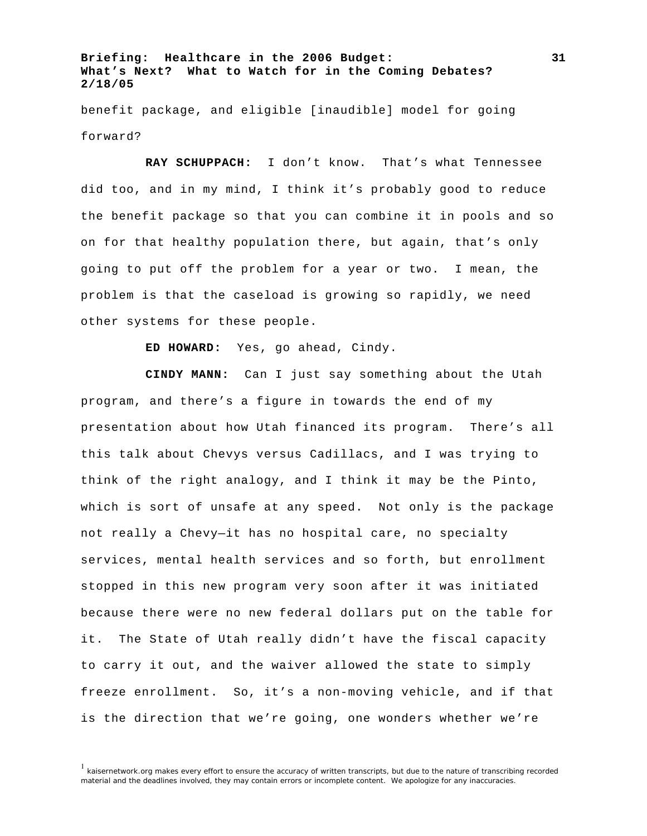benefit package, and eligible [inaudible] model for going forward?

**RAY SCHUPPACH:** I don't know. That's what Tennessee did too, and in my mind, I think it's probably good to reduce the benefit package so that you can combine it in pools and so on for that healthy population there, but again, that's only going to put off the problem for a year or two. I mean, the problem is that the caseload is growing so rapidly, we need other systems for these people.

**ED HOWARD:** Yes, go ahead, Cindy.

**CINDY MANN:** Can I just say something about the Utah program, and there's a figure in towards the end of my presentation about how Utah financed its program. There's all this talk about Chevys versus Cadillacs, and I was trying to think of the right analogy, and I think it may be the Pinto, which is sort of unsafe at any speed. Not only is the package not really a Chevy—it has no hospital care, no specialty services, mental health services and so forth, but enrollment stopped in this new program very soon after it was initiated because there were no new federal dollars put on the table for it. The State of Utah really didn't have the fiscal capacity to carry it out, and the waiver allowed the state to simply freeze enrollment. So, it's a non-moving vehicle, and if that is the direction that we're going, one wonders whether we're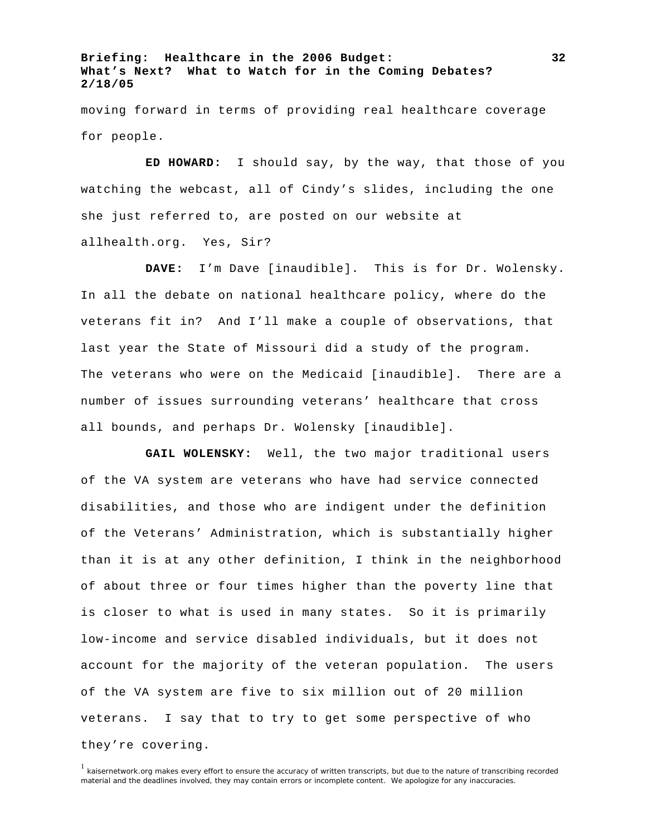moving forward in terms of providing real healthcare coverage for people.

**ED HOWARD:** I should say, by the way, that those of you watching the webcast, all of Cindy's slides, including the one she just referred to, are posted on our website at allhealth.org. Yes, Sir?

**DAVE:** I'm Dave [inaudible]. This is for Dr. Wolensky. In all the debate on national healthcare policy, where do the veterans fit in? And I'll make a couple of observations, that last year the State of Missouri did a study of the program. The veterans who were on the Medicaid [inaudible]. There are a number of issues surrounding veterans' healthcare that cross all bounds, and perhaps Dr. Wolensky [inaudible].

**GAIL WOLENSKY:** Well, the two major traditional users of the VA system are veterans who have had service connected disabilities, and those who are indigent under the definition of the Veterans' Administration, which is substantially higher than it is at any other definition, I think in the neighborhood of about three or four times higher than the poverty line that is closer to what is used in many states. So it is primarily low-income and service disabled individuals, but it does not account for the majority of the veteran population. The users of the VA system are five to six million out of 20 million veterans. I say that to try to get some perspective of who they're covering.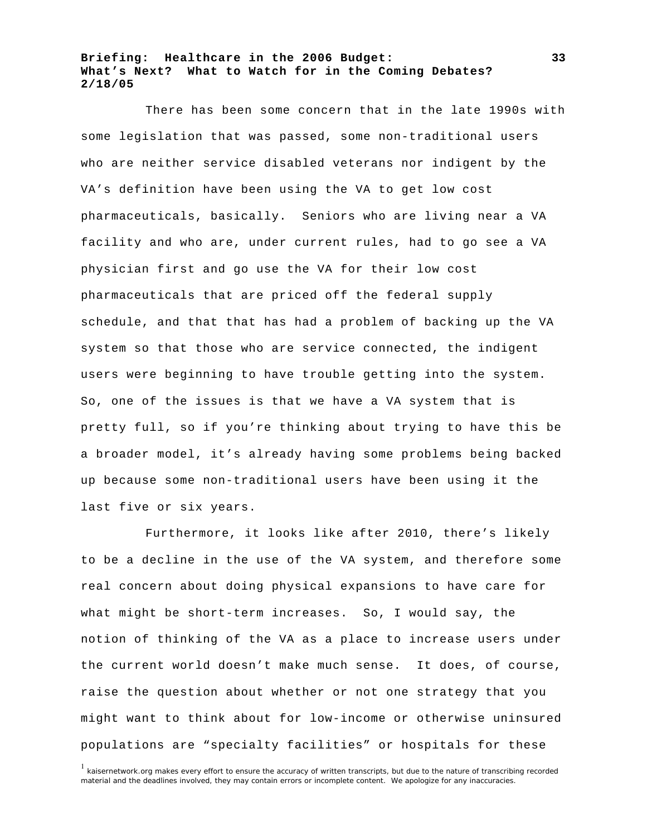There has been some concern that in the late 1990s with some legislation that was passed, some non-traditional users who are neither service disabled veterans nor indigent by the VA's definition have been using the VA to get low cost pharmaceuticals, basically. Seniors who are living near a VA facility and who are, under current rules, had to go see a VA physician first and go use the VA for their low cost pharmaceuticals that are priced off the federal supply schedule, and that that has had a problem of backing up the VA system so that those who are service connected, the indigent users were beginning to have trouble getting into the system. So, one of the issues is that we have a VA system that is pretty full, so if you're thinking about trying to have this be a broader model, it's already having some problems being backed up because some non-traditional users have been using it the last five or six years.

Furthermore, it looks like after 2010, there's likely to be a decline in the use of the VA system, and therefore some real concern about doing physical expansions to have care for what might be short-term increases. So, I would say, the notion of thinking of the VA as a place to increase users under the current world doesn't make much sense. It does, of course, raise the question about whether or not one strategy that you might want to think about for low-income or otherwise uninsured populations are "specialty facilities" or hospitals for these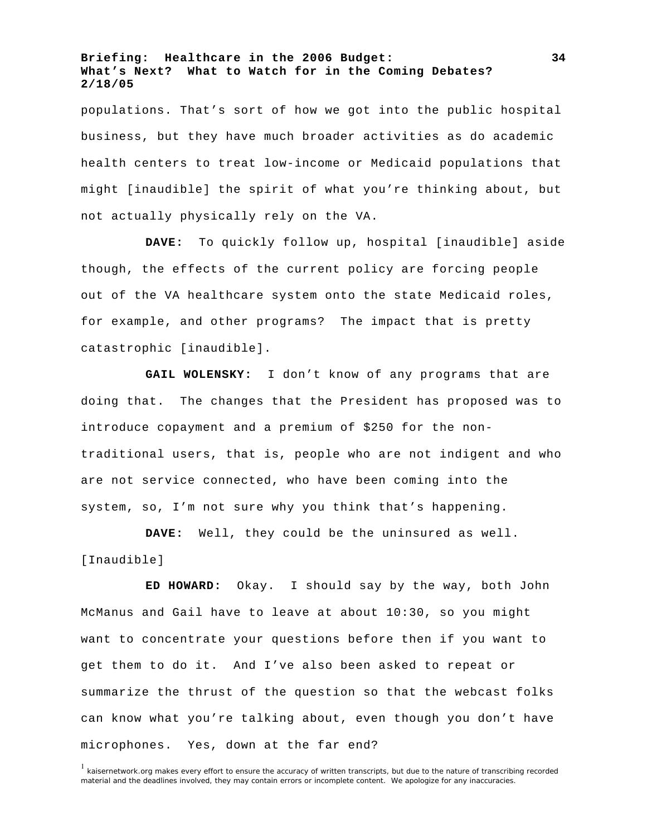populations. That's sort of how we got into the public hospital business, but they have much broader activities as do academic health centers to treat low-income or Medicaid populations that might [inaudible] the spirit of what you're thinking about, but not actually physically rely on the VA.

**DAVE:** To quickly follow up, hospital [inaudible] aside though, the effects of the current policy are forcing people out of the VA healthcare system onto the state Medicaid roles, for example, and other programs? The impact that is pretty catastrophic [inaudible].

**GAIL WOLENSKY:** I don't know of any programs that are doing that. The changes that the President has proposed was to introduce copayment and a premium of \$250 for the nontraditional users, that is, people who are not indigent and who are not service connected, who have been coming into the system, so, I'm not sure why you think that's happening.

**DAVE:** Well, they could be the uninsured as well. [Inaudible]

**ED HOWARD:** Okay. I should say by the way, both John McManus and Gail have to leave at about 10:30, so you might want to concentrate your questions before then if you want to get them to do it. And I've also been asked to repeat or summarize the thrust of the question so that the webcast folks can know what you're talking about, even though you don't have microphones. Yes, down at the far end?

**34**

<sup>&</sup>lt;sup>1</sup> kaisernetwork.org makes every effort to ensure the accuracy of written transcripts, but due to the nature of transcribing recorded material and the deadlines involved, they may contain errors or incomplete content. We apologize for any inaccuracies.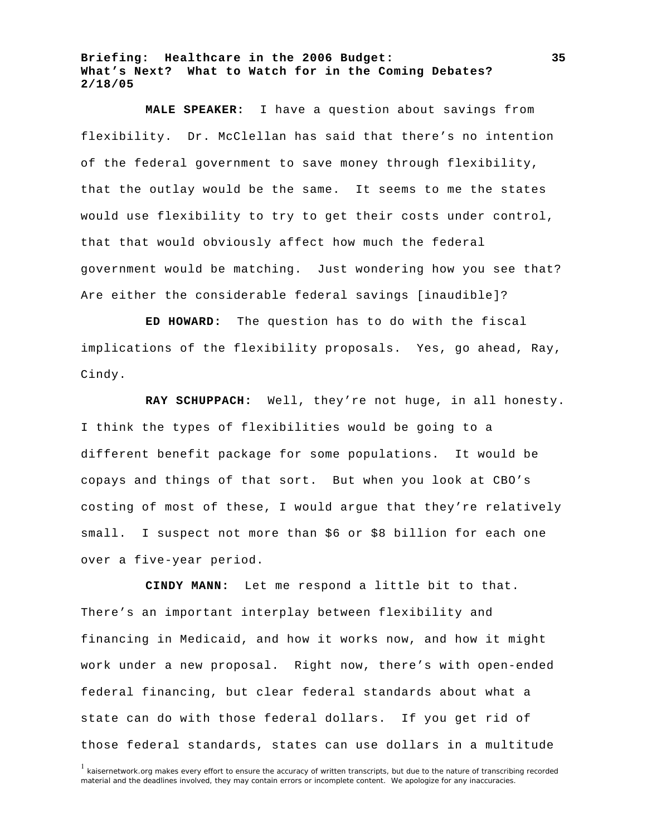**MALE SPEAKER:** I have a question about savings from flexibility. Dr. McClellan has said that there's no intention of the federal government to save money through flexibility, that the outlay would be the same. It seems to me the states would use flexibility to try to get their costs under control, that that would obviously affect how much the federal government would be matching. Just wondering how you see that? Are either the considerable federal savings [inaudible]?

**ED HOWARD:** The question has to do with the fiscal implications of the flexibility proposals. Yes, go ahead, Ray, Cindy.

**RAY SCHUPPACH:** Well, they're not huge, in all honesty. I think the types of flexibilities would be going to a different benefit package for some populations. It would be copays and things of that sort. But when you look at CBO's costing of most of these, I would argue that they're relatively small. I suspect not more than \$6 or \$8 billion for each one over a five-year period.

**CINDY MANN:** Let me respond a little bit to that. There's an important interplay between flexibility and financing in Medicaid, and how it works now, and how it might work under a new proposal. Right now, there's with open-ended federal financing, but clear federal standards about what a state can do with those federal dollars. If you get rid of those federal standards, states can use dollars in a multitude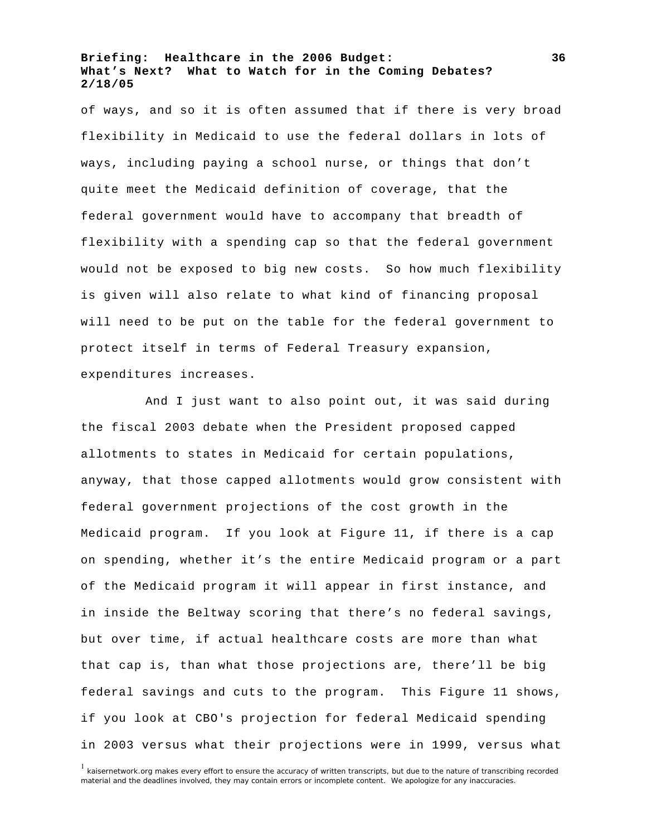of ways, and so it is often assumed that if there is very broad flexibility in Medicaid to use the federal dollars in lots of ways, including paying a school nurse, or things that don't quite meet the Medicaid definition of coverage, that the federal government would have to accompany that breadth of flexibility with a spending cap so that the federal government would not be exposed to big new costs. So how much flexibility is given will also relate to what kind of financing proposal will need to be put on the table for the federal government to protect itself in terms of Federal Treasury expansion, expenditures increases.

And I just want to also point out, it was said during the fiscal 2003 debate when the President proposed capped allotments to states in Medicaid for certain populations, anyway, that those capped allotments would grow consistent with federal government projections of the cost growth in the Medicaid program. If you look at Figure 11, if there is a cap on spending, whether it's the entire Medicaid program or a part of the Medicaid program it will appear in first instance, and in inside the Beltway scoring that there's no federal savings, but over time, if actual healthcare costs are more than what that cap is, than what those projections are, there'll be big federal savings and cuts to the program. This Figure 11 shows, if you look at CBO's projection for federal Medicaid spending in 2003 versus what their projections were in 1999, versus what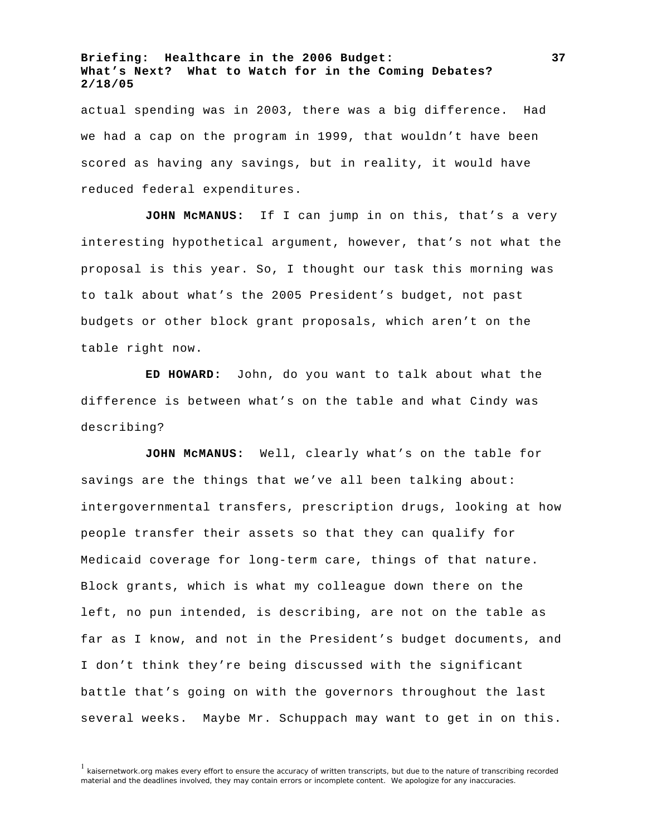actual spending was in 2003, there was a big difference. Had we had a cap on the program in 1999, that wouldn't have been scored as having any savings, but in reality, it would have reduced federal expenditures.

**JOHN McMANUS:** If I can jump in on this, that's a very interesting hypothetical argument, however, that's not what the proposal is this year. So, I thought our task this morning was to talk about what's the 2005 President's budget, not past budgets or other block grant proposals, which aren't on the table right now.

**ED HOWARD:** John, do you want to talk about what the difference is between what's on the table and what Cindy was describing?

**JOHN McMANUS:** Well, clearly what's on the table for savings are the things that we've all been talking about: intergovernmental transfers, prescription drugs, looking at how people transfer their assets so that they can qualify for Medicaid coverage for long-term care, things of that nature. Block grants, which is what my colleague down there on the left, no pun intended, is describing, are not on the table as far as I know, and not in the President's budget documents, and I don't think they're being discussed with the significant battle that's going on with the governors throughout the last several weeks. Maybe Mr. Schuppach may want to get in on this.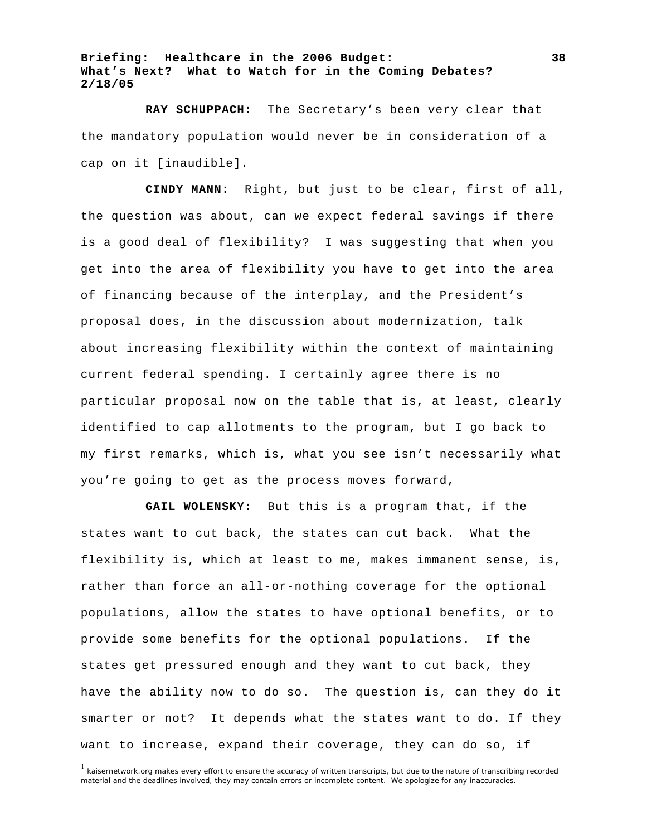**RAY SCHUPPACH:** The Secretary's been very clear that the mandatory population would never be in consideration of a cap on it [inaudible].

**CINDY MANN:** Right, but just to be clear, first of all, the question was about, can we expect federal savings if there is a good deal of flexibility? I was suggesting that when you get into the area of flexibility you have to get into the area of financing because of the interplay, and the President's proposal does, in the discussion about modernization, talk about increasing flexibility within the context of maintaining current federal spending. I certainly agree there is no particular proposal now on the table that is, at least, clearly identified to cap allotments to the program, but I go back to my first remarks, which is, what you see isn't necessarily what you're going to get as the process moves forward,

**GAIL WOLENSKY:** But this is a program that, if the states want to cut back, the states can cut back. What the flexibility is, which at least to me, makes immanent sense, is, rather than force an all-or-nothing coverage for the optional populations, allow the states to have optional benefits, or to provide some benefits for the optional populations. If the states get pressured enough and they want to cut back, they have the ability now to do so. The question is, can they do it smarter or not? It depends what the states want to do. If they want to increase, expand their coverage, they can do so, if

<sup>&</sup>lt;sup>1</sup> kaisernetwork.org makes every effort to ensure the accuracy of written transcripts, but due to the nature of transcribing recorded material and the deadlines involved, they may contain errors or incomplete content. We apologize for any inaccuracies.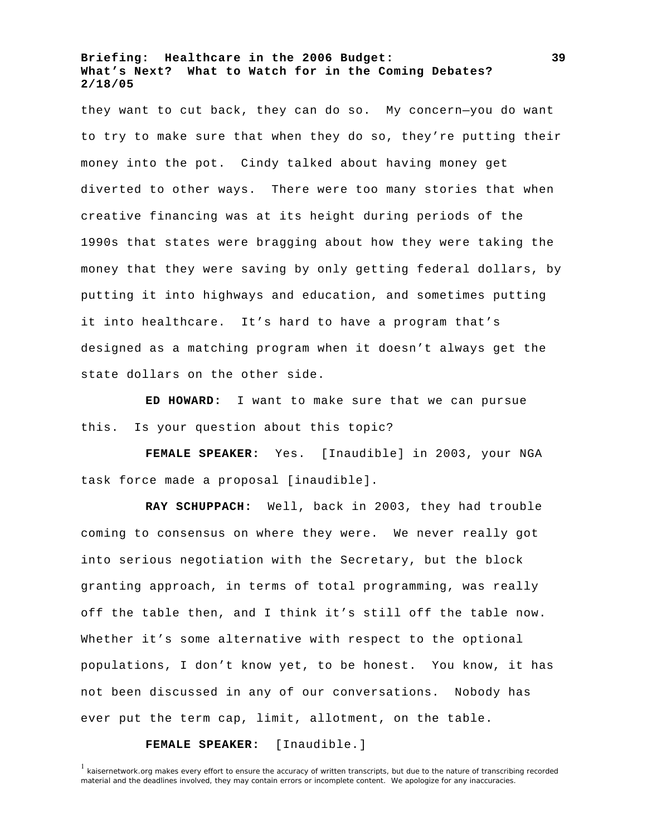they want to cut back, they can do so. My concern—you do want to try to make sure that when they do so, they're putting their money into the pot. Cindy talked about having money get diverted to other ways. There were too many stories that when creative financing was at its height during periods of the 1990s that states were bragging about how they were taking the money that they were saving by only getting federal dollars, by putting it into highways and education, and sometimes putting it into healthcare. It's hard to have a program that's designed as a matching program when it doesn't always get the state dollars on the other side.

**ED HOWARD:** I want to make sure that we can pursue this. Is your question about this topic?

**FEMALE SPEAKER:** Yes. [Inaudible] in 2003, your NGA task force made a proposal [inaudible].

**RAY SCHUPPACH:** Well, back in 2003, they had trouble coming to consensus on where they were. We never really got into serious negotiation with the Secretary, but the block granting approach, in terms of total programming, was really off the table then, and I think it's still off the table now. Whether it's some alternative with respect to the optional populations, I don't know yet, to be honest. You know, it has not been discussed in any of our conversations. Nobody has ever put the term cap, limit, allotment, on the table.

#### **FEMALE SPEAKER:** [Inaudible.]

**39**

<sup>&</sup>lt;sup>1</sup> kaisernetwork.org makes every effort to ensure the accuracy of written transcripts, but due to the nature of transcribing recorded material and the deadlines involved, they may contain errors or incomplete content. We apologize for any inaccuracies.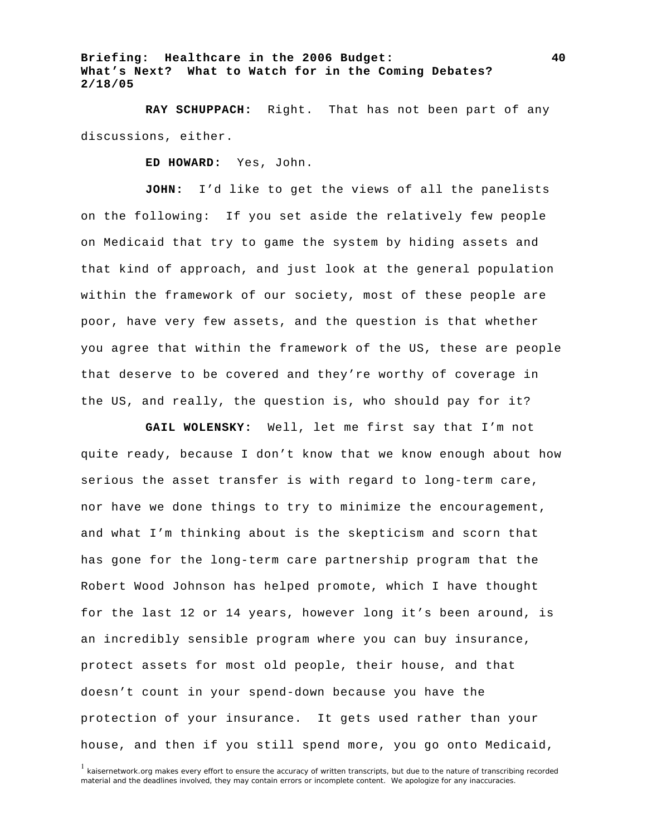**RAY SCHUPPACH:** Right. That has not been part of any discussions, either.

**ED HOWARD:** Yes, John.

**JOHN:** I'd like to get the views of all the panelists on the following: If you set aside the relatively few people on Medicaid that try to game the system by hiding assets and that kind of approach, and just look at the general population within the framework of our society, most of these people are poor, have very few assets, and the question is that whether you agree that within the framework of the US, these are people that deserve to be covered and they're worthy of coverage in the US, and really, the question is, who should pay for it?

**GAIL WOLENSKY:** Well, let me first say that I'm not quite ready, because I don't know that we know enough about how serious the asset transfer is with regard to long-term care, nor have we done things to try to minimize the encouragement, and what I'm thinking about is the skepticism and scorn that has gone for the long-term care partnership program that the Robert Wood Johnson has helped promote, which I have thought for the last 12 or 14 years, however long it's been around, is an incredibly sensible program where you can buy insurance, protect assets for most old people, their house, and that doesn't count in your spend-down because you have the protection of your insurance. It gets used rather than your house, and then if you still spend more, you go onto Medicaid,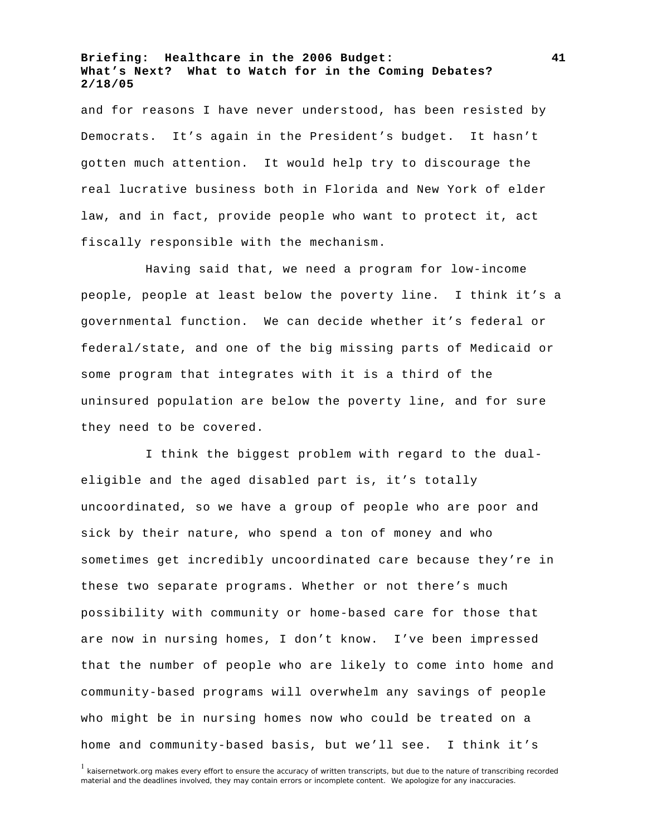and for reasons I have never understood, has been resisted by Democrats. It's again in the President's budget. It hasn't gotten much attention. It would help try to discourage the real lucrative business both in Florida and New York of elder law, and in fact, provide people who want to protect it, act fiscally responsible with the mechanism.

Having said that, we need a program for low-income people, people at least below the poverty line. I think it's a governmental function. We can decide whether it's federal or federal/state, and one of the big missing parts of Medicaid or some program that integrates with it is a third of the uninsured population are below the poverty line, and for sure they need to be covered.

I think the biggest problem with regard to the dualeligible and the aged disabled part is, it's totally uncoordinated, so we have a group of people who are poor and sick by their nature, who spend a ton of money and who sometimes get incredibly uncoordinated care because they're in these two separate programs. Whether or not there's much possibility with community or home-based care for those that are now in nursing homes, I don't know. I've been impressed that the number of people who are likely to come into home and community-based programs will overwhelm any savings of people who might be in nursing homes now who could be treated on a home and community-based basis, but we'll see. I think it's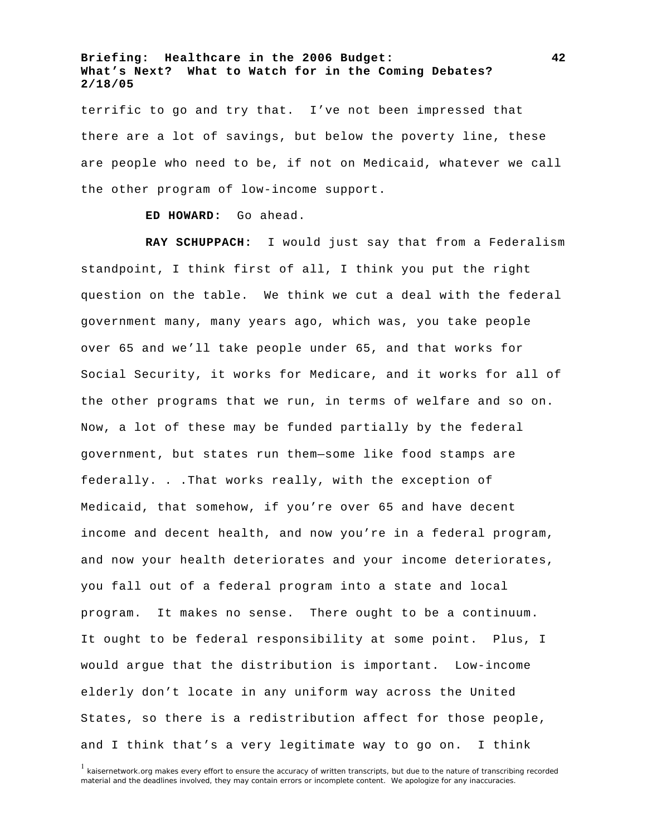terrific to go and try that. I've not been impressed that there are a lot of savings, but below the poverty line, these are people who need to be, if not on Medicaid, whatever we call the other program of low-income support.

**ED HOWARD:** Go ahead.

**RAY SCHUPPACH:** I would just say that from a Federalism standpoint, I think first of all, I think you put the right question on the table. We think we cut a deal with the federal government many, many years ago, which was, you take people over 65 and we'll take people under 65, and that works for Social Security, it works for Medicare, and it works for all of the other programs that we run, in terms of welfare and so on. Now, a lot of these may be funded partially by the federal government, but states run them—some like food stamps are federally. . .That works really, with the exception of Medicaid, that somehow, if you're over 65 and have decent income and decent health, and now you're in a federal program, and now your health deteriorates and your income deteriorates, you fall out of a federal program into a state and local program. It makes no sense. There ought to be a continuum. It ought to be federal responsibility at some point. Plus, I would argue that the distribution is important. Low-income elderly don't locate in any uniform way across the United States, so there is a redistribution affect for those people, and I think that's a very legitimate way to go on. I think

<sup>1</sup> kaisernetwork.org makes every effort to ensure the accuracy of written transcripts, but due to the nature of transcribing recorded material and the deadlines involved, they may contain errors or incomplete content. We apologize for any inaccuracies.

**42**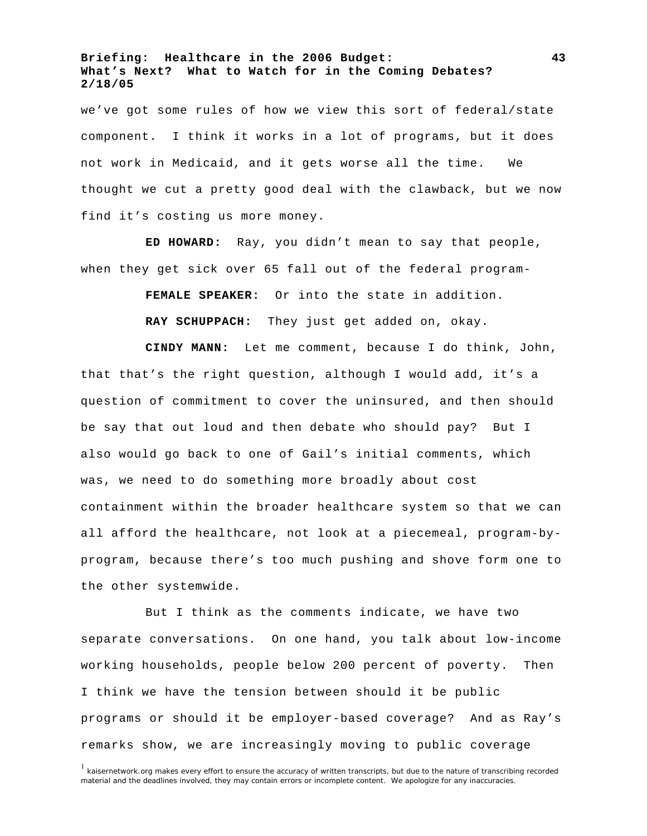we've got some rules of how we view this sort of federal/state component. I think it works in a lot of programs, but it does not work in Medicaid, and it gets worse all the time. We thought we cut a pretty good deal with the clawback, but we now find it's costing us more money.

**ED HOWARD:** Ray, you didn't mean to say that people, when they get sick over 65 fall out of the federal program-

**FEMALE SPEAKER:** Or into the state in addition.

**RAY SCHUPPACH:** They just get added on, okay.

**CINDY MANN:** Let me comment, because I do think, John, that that's the right question, although I would add, it's a question of commitment to cover the uninsured, and then should be say that out loud and then debate who should pay? But I also would go back to one of Gail's initial comments, which was, we need to do something more broadly about cost containment within the broader healthcare system so that we can all afford the healthcare, not look at a piecemeal, program-byprogram, because there's too much pushing and shove form one to the other systemwide.

But I think as the comments indicate, we have two separate conversations. On one hand, you talk about low-income working households, people below 200 percent of poverty. Then I think we have the tension between should it be public programs or should it be employer-based coverage? And as Ray's remarks show, we are increasingly moving to public coverage

**43**

<sup>&</sup>lt;sup>1</sup> kaisernetwork.org makes every effort to ensure the accuracy of written transcripts, but due to the nature of transcribing recorded material and the deadlines involved, they may contain errors or incomplete content. We apologize for any inaccuracies.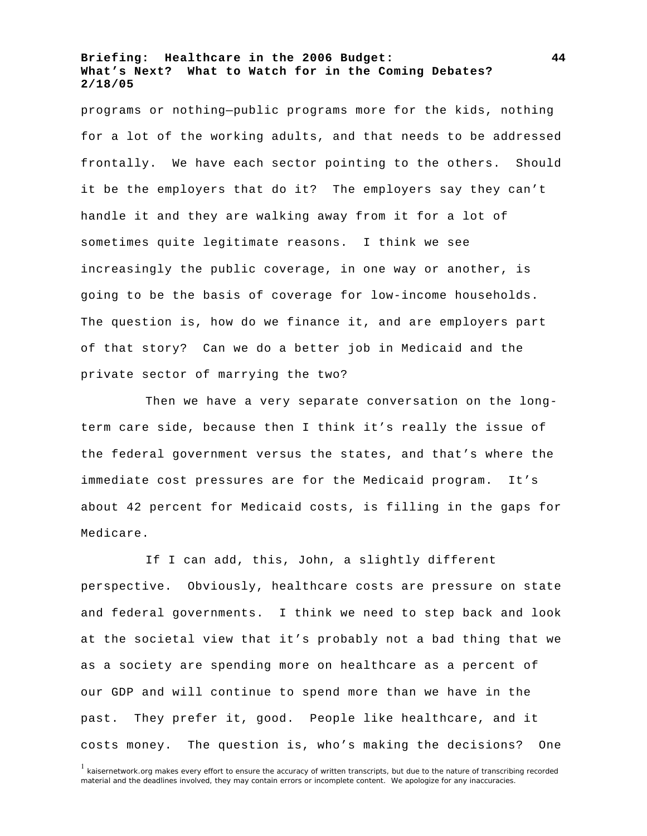programs or nothing—public programs more for the kids, nothing for a lot of the working adults, and that needs to be addressed frontally. We have each sector pointing to the others. Should it be the employers that do it? The employers say they can't handle it and they are walking away from it for a lot of sometimes quite legitimate reasons. I think we see increasingly the public coverage, in one way or another, is going to be the basis of coverage for low-income households. The question is, how do we finance it, and are employers part of that story? Can we do a better job in Medicaid and the private sector of marrying the two?

Then we have a very separate conversation on the longterm care side, because then I think it's really the issue of the federal government versus the states, and that's where the immediate cost pressures are for the Medicaid program. It's about 42 percent for Medicaid costs, is filling in the gaps for Medicare.

If I can add, this, John, a slightly different perspective. Obviously, healthcare costs are pressure on state and federal governments. I think we need to step back and look at the societal view that it's probably not a bad thing that we as a society are spending more on healthcare as a percent of our GDP and will continue to spend more than we have in the past. They prefer it, good. People like healthcare, and it costs money. The question is, who's making the decisions? One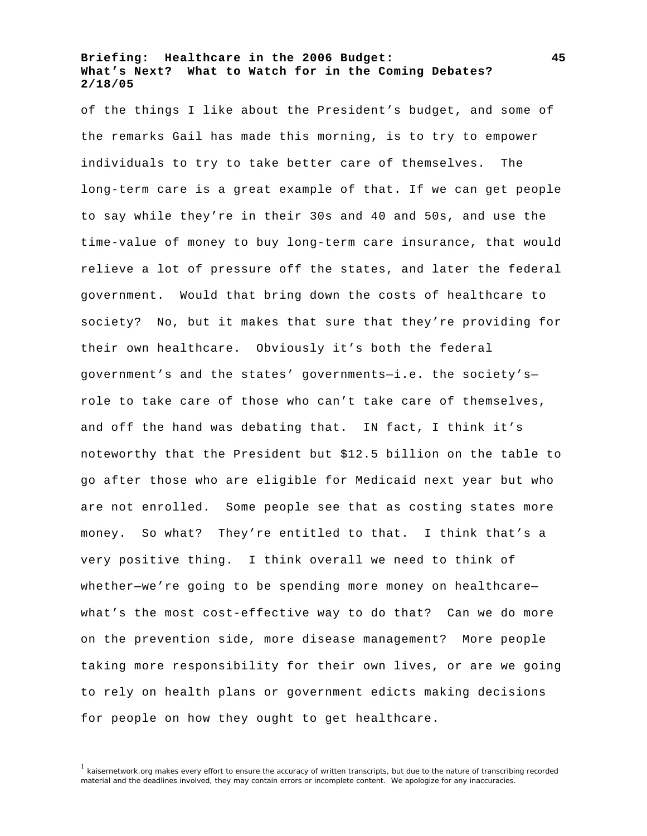of the things I like about the President's budget, and some of the remarks Gail has made this morning, is to try to empower individuals to try to take better care of themselves. The long-term care is a great example of that. If we can get people to say while they're in their 30s and 40 and 50s, and use the time-value of money to buy long-term care insurance, that would relieve a lot of pressure off the states, and later the federal government. Would that bring down the costs of healthcare to society? No, but it makes that sure that they're providing for their own healthcare. Obviously it's both the federal government's and the states' governments—i.e. the society's role to take care of those who can't take care of themselves, and off the hand was debating that. IN fact, I think it's noteworthy that the President but \$12.5 billion on the table to go after those who are eligible for Medicaid next year but who are not enrolled. Some people see that as costing states more money. So what? They're entitled to that. I think that's a very positive thing. I think overall we need to think of whether—we're going to be spending more money on healthcare what's the most cost-effective way to do that? Can we do more on the prevention side, more disease management? More people taking more responsibility for their own lives, or are we going to rely on health plans or government edicts making decisions for people on how they ought to get healthcare.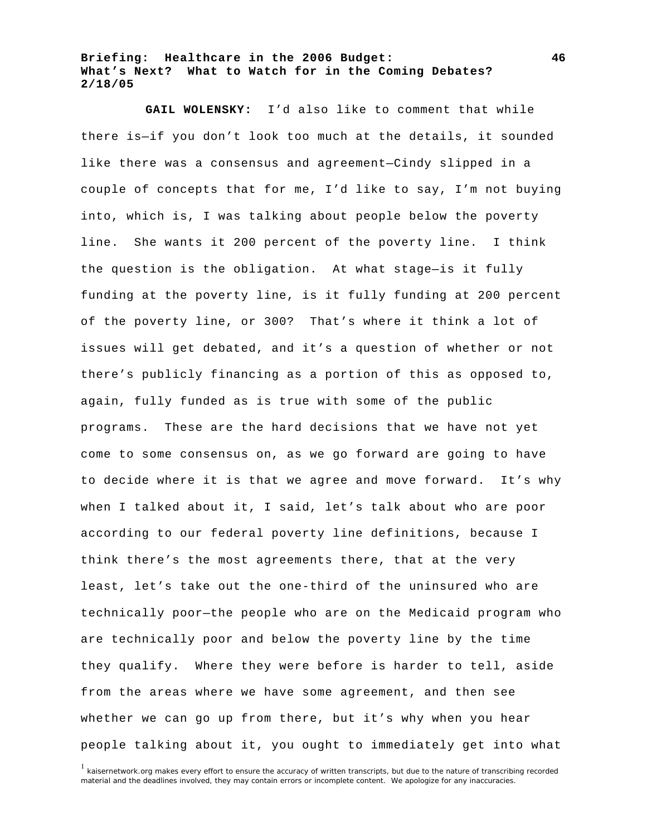**GAIL WOLENSKY:** I'd also like to comment that while there is—if you don't look too much at the details, it sounded like there was a consensus and agreement—Cindy slipped in a couple of concepts that for me, I'd like to say, I'm not buying into, which is, I was talking about people below the poverty line. She wants it 200 percent of the poverty line. I think the question is the obligation. At what stage—is it fully funding at the poverty line, is it fully funding at 200 percent of the poverty line, or 300? That's where it think a lot of issues will get debated, and it's a question of whether or not there's publicly financing as a portion of this as opposed to, again, fully funded as is true with some of the public programs. These are the hard decisions that we have not yet come to some consensus on, as we go forward are going to have to decide where it is that we agree and move forward. It's why when I talked about it, I said, let's talk about who are poor according to our federal poverty line definitions, because I think there's the most agreements there, that at the very least, let's take out the one-third of the uninsured who are technically poor—the people who are on the Medicaid program who are technically poor and below the poverty line by the time they qualify. Where they were before is harder to tell, aside from the areas where we have some agreement, and then see whether we can go up from there, but it's why when you hear people talking about it, you ought to immediately get into what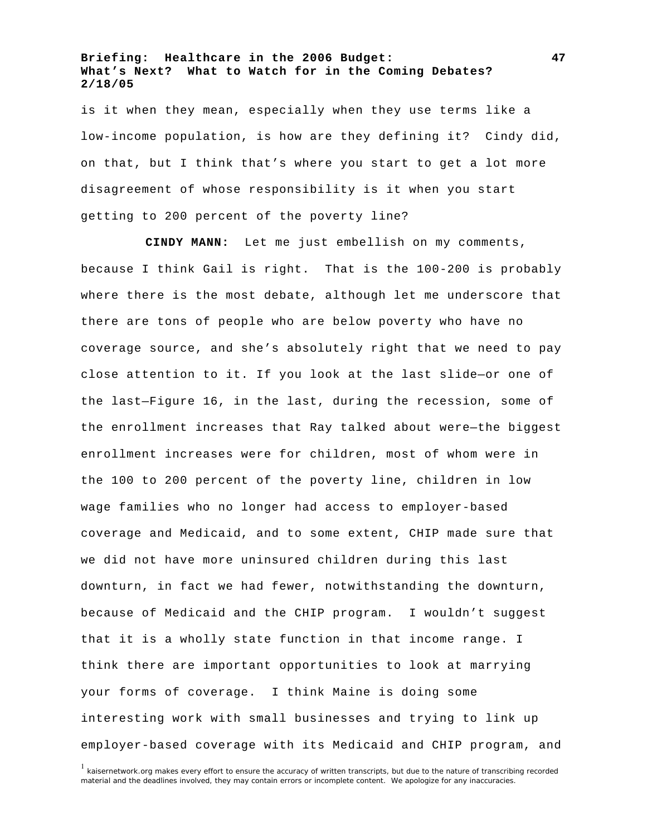is it when they mean, especially when they use terms like a low-income population, is how are they defining it? Cindy did, on that, but I think that's where you start to get a lot more disagreement of whose responsibility is it when you start getting to 200 percent of the poverty line?

**CINDY MANN:** Let me just embellish on my comments, because I think Gail is right. That is the 100-200 is probably where there is the most debate, although let me underscore that there are tons of people who are below poverty who have no coverage source, and she's absolutely right that we need to pay close attention to it. If you look at the last slide—or one of the last—Figure 16, in the last, during the recession, some of the enrollment increases that Ray talked about were—the biggest enrollment increases were for children, most of whom were in the 100 to 200 percent of the poverty line, children in low wage families who no longer had access to employer-based coverage and Medicaid, and to some extent, CHIP made sure that we did not have more uninsured children during this last downturn, in fact we had fewer, notwithstanding the downturn, because of Medicaid and the CHIP program. I wouldn't suggest that it is a wholly state function in that income range. I think there are important opportunities to look at marrying your forms of coverage. I think Maine is doing some interesting work with small businesses and trying to link up employer-based coverage with its Medicaid and CHIP program, and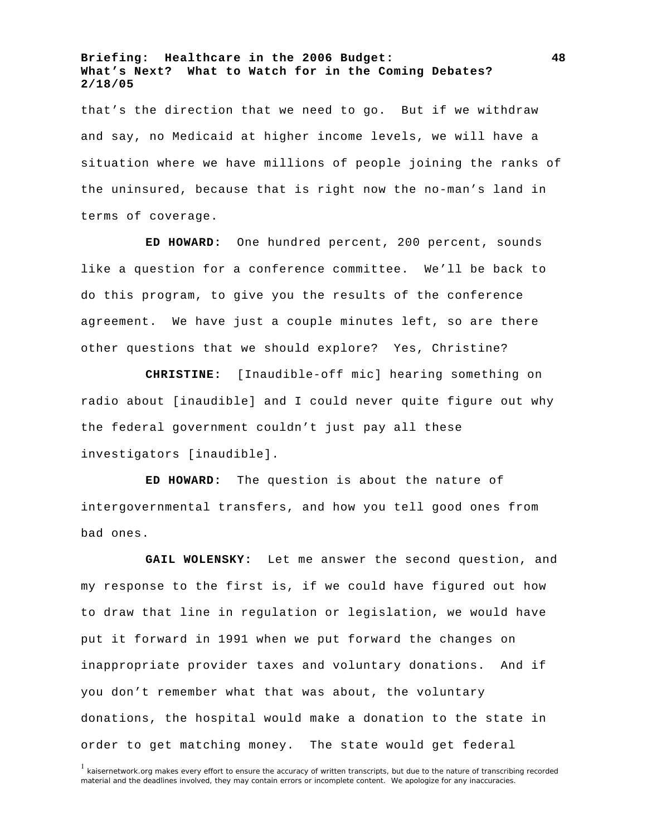that's the direction that we need to go. But if we withdraw and say, no Medicaid at higher income levels, we will have a situation where we have millions of people joining the ranks of the uninsured, because that is right now the no-man's land in terms of coverage.

**ED HOWARD:** One hundred percent, 200 percent, sounds like a question for a conference committee. We'll be back to do this program, to give you the results of the conference agreement. We have just a couple minutes left, so are there other questions that we should explore? Yes, Christine?

**CHRISTINE:** [Inaudible-off mic] hearing something on radio about [inaudible] and I could never quite figure out why the federal government couldn't just pay all these investigators [inaudible].

**ED HOWARD:** The question is about the nature of intergovernmental transfers, and how you tell good ones from bad ones.

**GAIL WOLENSKY:** Let me answer the second question, and my response to the first is, if we could have figured out how to draw that line in regulation or legislation, we would have put it forward in 1991 when we put forward the changes on inappropriate provider taxes and voluntary donations. And if you don't remember what that was about, the voluntary donations, the hospital would make a donation to the state in order to get matching money. The state would get federal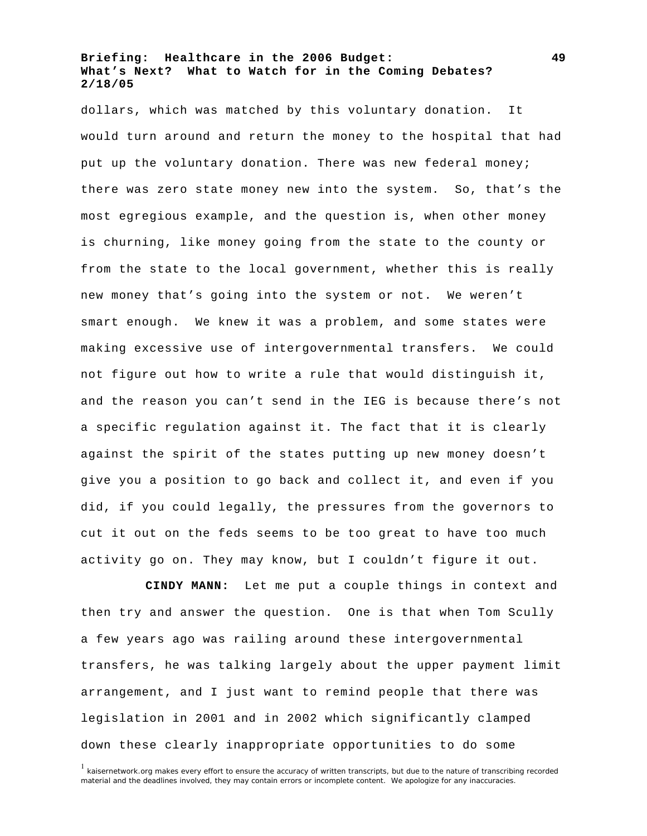dollars, which was matched by this voluntary donation. It would turn around and return the money to the hospital that had put up the voluntary donation. There was new federal money; there was zero state money new into the system. So, that's the most egregious example, and the question is, when other money is churning, like money going from the state to the county or from the state to the local government, whether this is really new money that's going into the system or not. We weren't smart enough. We knew it was a problem, and some states were making excessive use of intergovernmental transfers. We could not figure out how to write a rule that would distinguish it, and the reason you can't send in the IEG is because there's not a specific regulation against it. The fact that it is clearly against the spirit of the states putting up new money doesn't give you a position to go back and collect it, and even if you did, if you could legally, the pressures from the governors to cut it out on the feds seems to be too great to have too much activity go on. They may know, but I couldn't figure it out.

**CINDY MANN:** Let me put a couple things in context and then try and answer the question. One is that when Tom Scully a few years ago was railing around these intergovernmental transfers, he was talking largely about the upper payment limit arrangement, and I just want to remind people that there was legislation in 2001 and in 2002 which significantly clamped down these clearly inappropriate opportunities to do some

<sup>&</sup>lt;sup>1</sup> kaisernetwork.org makes every effort to ensure the accuracy of written transcripts, but due to the nature of transcribing recorded material and the deadlines involved, they may contain errors or incomplete content. We apologize for any inaccuracies.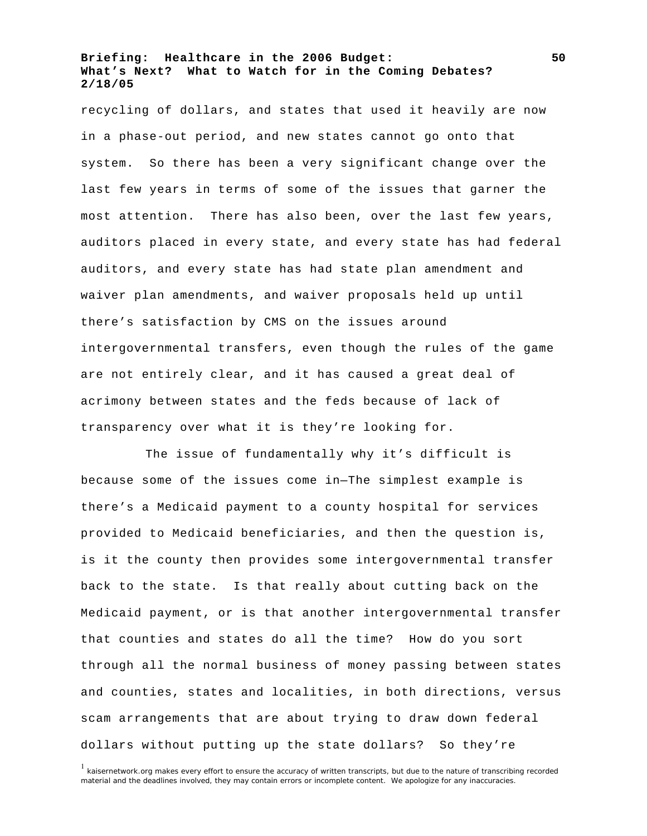recycling of dollars, and states that used it heavily are now in a phase-out period, and new states cannot go onto that system. So there has been a very significant change over the last few years in terms of some of the issues that garner the most attention. There has also been, over the last few years, auditors placed in every state, and every state has had federal auditors, and every state has had state plan amendment and waiver plan amendments, and waiver proposals held up until there's satisfaction by CMS on the issues around intergovernmental transfers, even though the rules of the game are not entirely clear, and it has caused a great deal of acrimony between states and the feds because of lack of transparency over what it is they're looking for.

The issue of fundamentally why it's difficult is because some of the issues come in—The simplest example is there's a Medicaid payment to a county hospital for services provided to Medicaid beneficiaries, and then the question is, is it the county then provides some intergovernmental transfer back to the state. Is that really about cutting back on the Medicaid payment, or is that another intergovernmental transfer that counties and states do all the time? How do you sort through all the normal business of money passing between states and counties, states and localities, in both directions, versus scam arrangements that are about trying to draw down federal dollars without putting up the state dollars? So they're